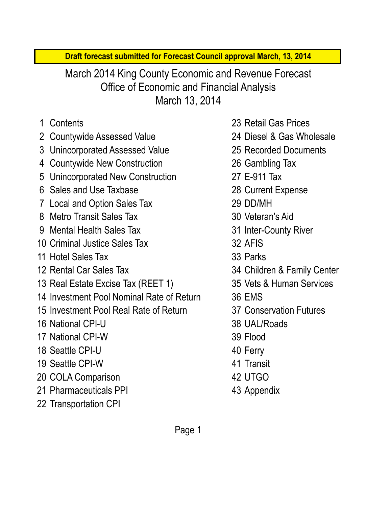**Draft forecast submitted for Forecast Council approval March, 13, 2014**

March 13, 2014 Office of Economic and Financial Analysis March 2014 King County Economic and Revenue Forecast

- 
- 2 Countywide Assessed Value 24 Diesel & Gas Wholesale
- 3 Unincorporated Assessed Value 25 Recorded Documents
- 4 Countywide New Construction 26 Gambling Tax
- 5 Unincorporated New Construction 27 E-911 Tax
- 6 Sales and Use Taxbase 28 Current Expense
- 7 Local and Option Sales Tax 29 DD/MH
- 8 Metro Transit Sales Tax 30 Veteran's Aid
- 9 Mental Health Sales Tax 31 Inter-County River
- 10 Criminal Justice Sales Tax 32 AFIS
- 11 Hotel Sales Tax 33 Parks
- 
- 13 Real Estate Excise Tax (REET 1) 35 Vets & Human Services
- 14 Investment Pool Nominal Rate of Return 36 EMS
- 15 Investment Pool Real Rate of Return 37 Conservation Futures
- 16 National CPI-U 38 UAL/Roads
- 17 National CPI-W 39 Flood
- 18 Seattle CPI-U 40 Ferry
- 19 Seattle CPI-W 41 Transit
- 20 COLA Comparison 42 UTGO
- 21 Pharmaceuticals PPI 43 Appendix
- 22 Transportation CPI
- 1 Contents 23 Retail Gas Prices
	-
	-
	-
	-
	-
	-
	-
	-
	-
	-
- 12 Rental Car Sales Tax 34 Children & Family Center
	-
	-
	-
	-
	-
	-
	-
	-
	-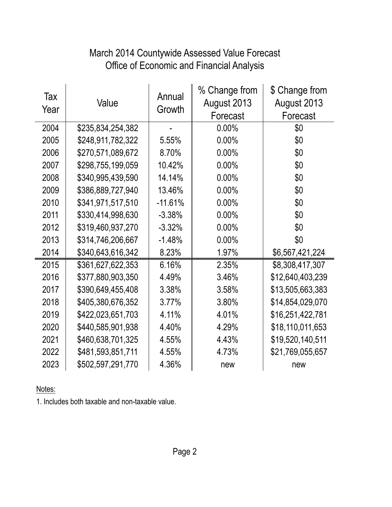# Office of Economic and Financial Analysis March 2014 Countywide Assessed Value Forecast

| Tax<br>Year | Value             | Annual<br>Growth | % Change from<br>August 2013<br>Forecast | \$ Change from<br>August 2013<br>Forecast |
|-------------|-------------------|------------------|------------------------------------------|-------------------------------------------|
| 2004        | \$235,834,254,382 |                  | $0.00\%$                                 | \$0                                       |
| 2005        | \$248,911,782,322 | 5.55%            | 0.00%                                    | \$0                                       |
| 2006        | \$270,571,089,672 | 8.70%            | 0.00%                                    | \$0                                       |
| 2007        | \$298,755,199,059 | 10.42%           | $0.00\%$                                 | \$0                                       |
| 2008        | \$340,995,439,590 | 14.14%           | 0.00%                                    | \$0                                       |
| 2009        | \$386,889,727,940 | 13.46%           | 0.00%                                    | \$0                                       |
| 2010        | \$341,971,517,510 | $-11.61%$        | $0.00\%$                                 | \$0                                       |
| 2011        | \$330,414,998,630 | $-3.38%$         | 0.00%                                    | \$0                                       |
| 2012        | \$319,460,937,270 | $-3.32%$         | 0.00%                                    | \$0                                       |
| 2013        | \$314,746,206,667 | $-1.48%$         | 0.00%                                    | \$0                                       |
| 2014        | \$340,643,616,342 | 8.23%            | 1.97%                                    | \$6,567,421,224                           |
| 2015        | \$361,627,622,353 | 6.16%            | 2.35%                                    | \$8,308,417,307                           |
| 2016        | \$377,880,903,350 | 4.49%            | 3.46%                                    | \$12,640,403,239                          |
| 2017        | \$390,649,455,408 | 3.38%            | 3.58%                                    | \$13,505,663,383                          |
| 2018        | \$405,380,676,352 | 3.77%            | 3.80%                                    | \$14,854,029,070                          |
| 2019        | \$422,023,651,703 | 4.11%            | 4.01%                                    | \$16,251,422,781                          |
| 2020        | \$440,585,901,938 | 4.40%            | 4.29%                                    | \$18,110,011,653                          |
| 2021        | \$460,638,701,325 | 4.55%            | 4.43%                                    | \$19,520,140,511                          |
| 2022        | \$481,593,851,711 | 4.55%            | 4.73%                                    | \$21,769,055,657                          |
| 2023        | \$502,597,291,770 | 4.36%            | new                                      | new                                       |

Notes:

1. Includes both taxable and non-taxable value.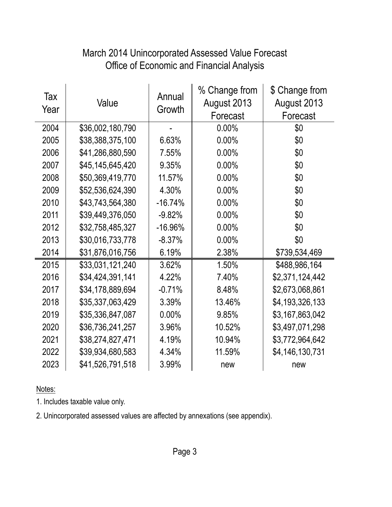| Tax<br>Year | Value            | Annual<br>Growth | % Change from<br>August 2013<br>Forecast | \$ Change from<br>August 2013<br>Forecast |
|-------------|------------------|------------------|------------------------------------------|-------------------------------------------|
| 2004        | \$36,002,180,790 |                  | 0.00%                                    | \$0                                       |
| 2005        | \$38,388,375,100 | 6.63%            | 0.00%                                    | \$0                                       |
| 2006        | \$41,286,880,590 | 7.55%            | 0.00%                                    | \$0                                       |
| 2007        | \$45,145,645,420 | 9.35%            | 0.00%                                    | \$0                                       |
| 2008        | \$50,369,419,770 | 11.57%           | 0.00%                                    | \$0                                       |
| 2009        | \$52,536,624,390 | 4.30%            | 0.00%                                    | \$0                                       |
| 2010        | \$43,743,564,380 | $-16.74%$        | 0.00%                                    | \$0                                       |
| 2011        | \$39,449,376,050 | $-9.82%$         | 0.00%                                    | \$0                                       |
| 2012        | \$32,758,485,327 | $-16.96%$        | 0.00%                                    | \$0                                       |
| 2013        | \$30,016,733,778 | $-8.37%$         | 0.00%                                    | \$0                                       |
| 2014        | \$31,876,016,756 | 6.19%            | 2.38%                                    | \$739,534,469                             |
| 2015        | \$33,031,121,240 | 3.62%            | 1.50%                                    | \$488,986,164                             |
| 2016        | \$34,424,391,141 | 4.22%            | 7.40%                                    | \$2,371,124,442                           |
| 2017        | \$34,178,889,694 | $-0.71%$         | 8.48%                                    | \$2,673,068,861                           |
| 2018        | \$35,337,063,429 | 3.39%            | 13.46%                                   | \$4,193,326,133                           |
| 2019        | \$35,336,847,087 | $0.00\%$         | 9.85%                                    | \$3,167,863,042                           |
| 2020        | \$36,736,241,257 | 3.96%            | 10.52%                                   | \$3,497,071,298                           |
| 2021        | \$38,274,827,471 | 4.19%            | 10.94%                                   | \$3,772,964,642                           |
| 2022        | \$39,934,680,583 | 4.34%            | 11.59%                                   | \$4,146,130,731                           |
| 2023        | \$41,526,791,518 | 3.99%            | new                                      | new                                       |

# Office of Economic and Financial Analysis March 2014 Unincorporated Assessed Value Forecast

Notes:

1. Includes taxable value only.

2. Unincorporated assessed values are affected by annexations (see appendix).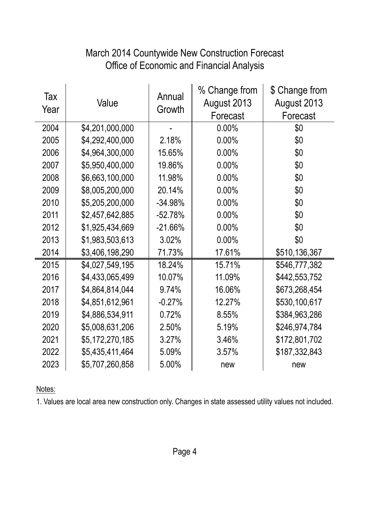#### March 2014 Countywide New Construction Forecast Office of Economic and Financial Analysis

| Tax<br>Year | Value           | Annual<br>Growth | % Change from<br>August 2013<br>Forecast | \$ Change from<br>August 2013<br>Forecast |
|-------------|-----------------|------------------|------------------------------------------|-------------------------------------------|
| 2004        | \$4,201,000,000 |                  | 0.00%                                    | \$0                                       |
| 2005        | \$4,292,400,000 | 2.18%            | 0.00%                                    | \$0                                       |
| 2006        | \$4,964,300,000 | 15.65%           | 0.00%                                    | \$0                                       |
| 2007        | \$5,950,400,000 | 19.86%           | 0.00%                                    | \$0                                       |
| 2008        | \$6,663,100,000 | 11.98%           | 0.00%                                    | \$0                                       |
| 2009        | \$8,005,200,000 | 20.14%           | 0.00%                                    | \$0                                       |
| 2010        | \$5,205,200,000 | $-34.98%$        | 0.00%                                    | \$0                                       |
| 2011        | \$2,457,642,885 | $-52.78%$        | 0.00%                                    | \$0                                       |
| 2012        | \$1,925,434,669 | $-21.66%$        | 0.00%                                    | \$0                                       |
| 2013        | \$1,983,503,613 | 3.02%            | 0.00%                                    | \$0                                       |
| 2014        | \$3,406,198,290 | 71.73%           | 17.61%                                   | \$510,136,367                             |
| 2015        | \$4,027,549,195 | 18.24%           | 15.71%                                   | \$546,777,382                             |
| 2016        | \$4,433,065,499 | 10.07%           | 11.09%                                   | \$442,553,752                             |
| 2017        | \$4,864,814,044 | 9.74%            | 16.06%                                   | \$673,268,454                             |
| 2018        | \$4,851,612,961 | $-0.27%$         | 12.27%                                   | \$530,100,617                             |
| 2019        | \$4,886,534,911 | 0.72%            | 8.55%                                    | \$384,963,286                             |
| 2020        | \$5,008,631,206 | 2.50%            | 5.19%                                    | \$246,974,784                             |
| 2021        | \$5,172,270,185 | 3.27%            | 3.46%                                    | \$172,801,702                             |
| 2022        | \$5,435,411,464 | 5.09%            | 3.57%                                    | \$187,332,843                             |
| 2023        | \$5,707,260,858 | 5.00%            | new                                      | new                                       |

Notes:

1. Values are local area new construction only. Changes in state assessed utility values not included.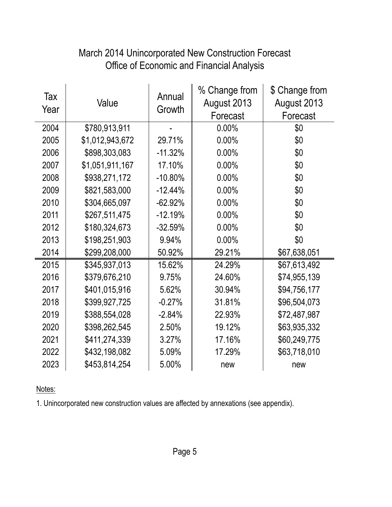| Tax<br>Year | Value           | Annual<br>Growth | % Change from<br>August 2013<br>Forecast | \$ Change from<br>August 2013<br>Forecast |
|-------------|-----------------|------------------|------------------------------------------|-------------------------------------------|
| 2004        | \$780,913,911   |                  | 0.00%                                    | \$0                                       |
| 2005        | \$1,012,943,672 | 29.71%           | 0.00%                                    | \$0                                       |
| 2006        | \$898,303,083   | $-11.32%$        | 0.00%                                    | \$0                                       |
| 2007        | \$1,051,911,167 | 17.10%           | 0.00%                                    | \$0                                       |
| 2008        | \$938,271,172   | $-10.80\%$       | 0.00%                                    | \$0                                       |
| 2009        | \$821,583,000   | $-12.44%$        | 0.00%                                    | \$0                                       |
| 2010        | \$304,665,097   | $-62.92%$        | 0.00%                                    | \$0                                       |
| 2011        | \$267,511,475   | $-12.19%$        | 0.00%                                    | \$0                                       |
| 2012        | \$180,324,673   | $-32.59%$        | 0.00%                                    | \$0                                       |
| 2013        | \$198,251,903   | 9.94%            | 0.00%                                    | \$0                                       |
| 2014        | \$299,208,000   | 50.92%           | 29.21%                                   | \$67,638,051                              |
| 2015        | \$345,937,013   | 15.62%           | 24.29%                                   | \$67,613,492                              |
| 2016        | \$379,676,210   | 9.75%            | 24.60%                                   | \$74,955,139                              |
| 2017        | \$401,015,916   | 5.62%            | 30.94%                                   | \$94,756,177                              |
| 2018        | \$399,927,725   | $-0.27%$         | 31.81%                                   | \$96,504,073                              |
| 2019        | \$388,554,028   | $-2.84%$         | 22.93%                                   | \$72,487,987                              |
| 2020        | \$398,262,545   | 2.50%            | 19.12%                                   | \$63,935,332                              |
| 2021        | \$411,274,339   | 3.27%            | 17.16%                                   | \$60,249,775                              |
| 2022        | \$432,198,082   | 5.09%            | 17.29%                                   | \$63,718,010                              |
| 2023        | \$453,814,254   | 5.00%            | new                                      | new                                       |

# Office of Economic and Financial Analysis March 2014 Unincorporated New Construction Forecast

Notes:

1. Unincorporated new construction values are affected by annexations (see appendix).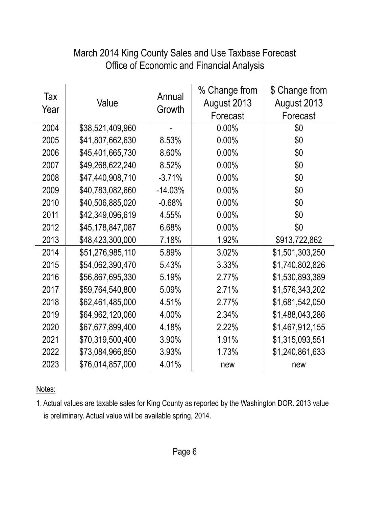## Office of Economic and Financial Analysis March 2014 King County Sales and Use Taxbase Forecast

| Tax<br>Year | Value            | Annual<br>Growth | % Change from<br>August 2013<br>Forecast | \$ Change from<br>August 2013<br>Forecast |
|-------------|------------------|------------------|------------------------------------------|-------------------------------------------|
| 2004        | \$38,521,409,960 |                  | 0.00%                                    | \$0                                       |
| 2005        | \$41,807,662,630 | 8.53%            | 0.00%                                    | \$0                                       |
| 2006        | \$45,401,665,730 | 8.60%            | 0.00%                                    | \$0                                       |
| 2007        | \$49,268,622,240 | 8.52%            | 0.00%                                    | \$0                                       |
| 2008        | \$47,440,908,710 | $-3.71%$         | 0.00%                                    | \$0                                       |
| 2009        | \$40,783,082,660 | $-14.03%$        | 0.00%                                    | \$0                                       |
| 2010        | \$40,506,885,020 | $-0.68%$         | 0.00%                                    | \$0                                       |
| 2011        | \$42,349,096,619 | 4.55%            | 0.00%                                    | \$0                                       |
| 2012        | \$45,178,847,087 | 6.68%            | 0.00%                                    | \$0                                       |
| 2013        | \$48,423,300,000 | 7.18%            | 1.92%                                    | \$913,722,862                             |
| 2014        | \$51,276,985,110 | 5.89%            | 3.02%                                    | \$1,501,303,250                           |
| 2015        | \$54,062,390,470 | 5.43%            | 3.33%                                    | \$1,740,802,826                           |
| 2016        | \$56,867,695,330 | 5.19%            | 2.77%                                    | \$1,530,893,389                           |
| 2017        | \$59,764,540,800 | 5.09%            | 2.71%                                    | \$1,576,343,202                           |
| 2018        | \$62,461,485,000 | 4.51%            | 2.77%                                    | \$1,681,542,050                           |
| 2019        | \$64,962,120,060 | 4.00%            | 2.34%                                    | \$1,488,043,286                           |
| 2020        | \$67,677,899,400 | 4.18%            | 2.22%                                    | \$1,467,912,155                           |
| 2021        | \$70,319,500,400 | 3.90%            | 1.91%                                    | \$1,315,093,551                           |
| 2022        | \$73,084,966,850 | 3.93%            | 1.73%                                    | \$1,240,861,633                           |
| 2023        | \$76,014,857,000 | 4.01%            | new                                      | new                                       |

Notes:

1. Actual values are taxable sales for King County as reported by the Washington DOR. 2013 value is preliminary. Actual value will be available spring, 2014.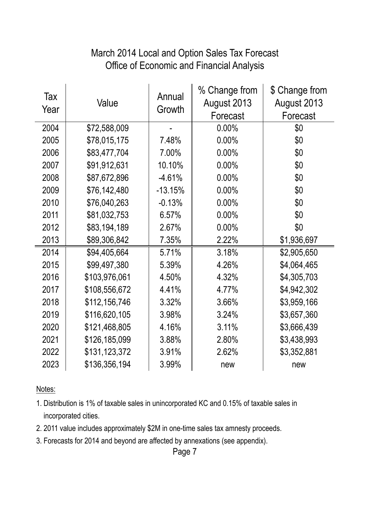#### Office of Economic and Financial Analysis March 2014 Local and Option Sales Tax Forecast

| Tax<br>Year | Value         | Annual<br>Growth | % Change from<br>August 2013<br>Forecast | \$ Change from<br>August 2013<br>Forecast |
|-------------|---------------|------------------|------------------------------------------|-------------------------------------------|
| 2004        | \$72,588,009  |                  | 0.00%                                    | \$0                                       |
| 2005        | \$78,015,175  | 7.48%            | 0.00%                                    | \$0                                       |
| 2006        | \$83,477,704  | 7.00%            | 0.00%                                    | \$0                                       |
| 2007        | \$91,912,631  | 10.10%           | 0.00%                                    | \$0                                       |
| 2008        | \$87,672,896  | $-4.61%$         | 0.00%                                    | \$0                                       |
| 2009        | \$76,142,480  | $-13.15%$        | 0.00%                                    | \$0                                       |
| 2010        | \$76,040,263  | $-0.13%$         | 0.00%                                    | \$0                                       |
| 2011        | \$81,032,753  | 6.57%            | 0.00%                                    | \$0                                       |
| 2012        | \$83,194,189  | 2.67%            | 0.00%                                    | \$0                                       |
| 2013        | \$89,306,842  | 7.35%            | 2.22%                                    | \$1,936,697                               |
| 2014        | \$94,405,664  | 5.71%            | 3.18%                                    | \$2,905,650                               |
| 2015        | \$99,497,380  | 5.39%            | 4.26%                                    | \$4,064,465                               |
| 2016        | \$103,976,061 | 4.50%            | 4.32%                                    | \$4,305,703                               |
| 2017        | \$108,556,672 | 4.41%            | 4.77%                                    | \$4,942,302                               |
| 2018        | \$112,156,746 | 3.32%            | 3.66%                                    | \$3,959,166                               |
| 2019        | \$116,620,105 | 3.98%            | 3.24%                                    | \$3,657,360                               |
| 2020        | \$121,468,805 | 4.16%            | 3.11%                                    | \$3,666,439                               |
| 2021        | \$126,185,099 | 3.88%            | 2.80%                                    | \$3,438,993                               |
| 2022        | \$131,123,372 | 3.91%            | 2.62%                                    | \$3,352,881                               |
| 2023        | \$136,356,194 | 3.99%            | new                                      | new                                       |

Notes:

- 1. Distribution is 1% of taxable sales in unincorporated KC and 0.15% of taxable sales in incorporated cities.
- 2. 2011 value includes approximately \$2M in one-time sales tax amnesty proceeds.
- 3. Forecasts for 2014 and beyond are affected by annexations (see appendix).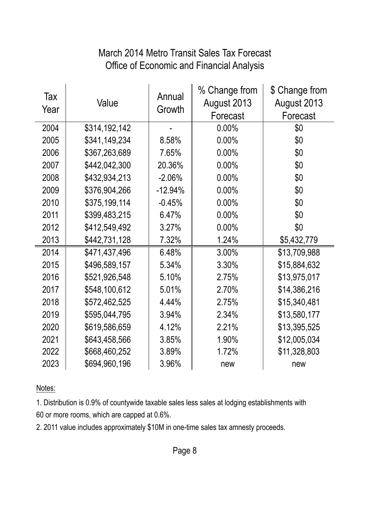#### March 2014 Metro Transit Sales Tax Forecast Office of Economic and Financial Analysis

| Tax<br>Year | Value         | Annual<br>Growth | % Change from<br>August 2013<br>Forecast | \$ Change from<br>August 2013<br>Forecast |
|-------------|---------------|------------------|------------------------------------------|-------------------------------------------|
| 2004        | \$314,192,142 |                  | 0.00%                                    | \$0                                       |
| 2005        | \$341,149,234 | 8.58%            | 0.00%                                    | \$0                                       |
| 2006        | \$367,263,689 | 7.65%            | 0.00%                                    | \$0                                       |
| 2007        | \$442,042,300 | 20.36%           | 0.00%                                    | \$0                                       |
| 2008        | \$432,934,213 | $-2.06%$         | 0.00%                                    | \$0                                       |
| 2009        | \$376,904,266 | $-12.94%$        | 0.00%                                    | \$0                                       |
| 2010        | \$375,199,114 | $-0.45%$         | 0.00%                                    | \$0                                       |
| 2011        | \$399,483,215 | 6.47%            | 0.00%                                    | \$0                                       |
| 2012        | \$412,549,492 | 3.27%            | 0.00%                                    | \$0                                       |
| 2013        | \$442,731,128 | 7.32%            | 1.24%                                    | \$5,432,779                               |
| 2014        | \$471,437,496 | 6.48%            | 3.00%                                    | \$13,709,988                              |
| 2015        | \$496,589,157 | 5.34%            | 3.30%                                    | \$15,884,632                              |
| 2016        | \$521,926,548 | 5.10%            | 2.75%                                    | \$13,975,017                              |
| 2017        | \$548,100,612 | 5.01%            | 2.70%                                    | \$14,386,216                              |
| 2018        | \$572,462,525 | 4.44%            | 2.75%                                    | \$15,340,481                              |
| 2019        | \$595,044,795 | 3.94%            | 2.34%                                    | \$13,580,177                              |
| 2020        | \$619,586,659 | 4.12%            | 2.21%                                    | \$13,395,525                              |
| 2021        | \$643,458,566 | 3.85%            | 1.90%                                    | \$12,005,034                              |
| 2022        | \$668,460,252 | 3.89%            | 1.72%                                    | \$11,328,803                              |
| 2023        | \$694,960,196 | 3.96%            | new                                      | new                                       |

Notes:

1. Distribution is 0.9% of countywide taxable sales less sales at lodging establishments with 60 or more rooms, which are capped at 0.6%.

2. 2011 value includes approximately \$10M in one-time sales tax amnesty proceeds.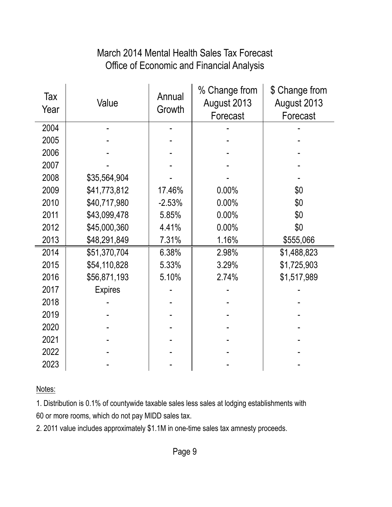# March 2014 Mental Health Sales Tax Forecast Office of Economic and Financial Analysis

| Tax<br>Year | Value          | Annual<br>Growth | % Change from<br>August 2013<br>Forecast | \$ Change from<br>August 2013<br>Forecast |
|-------------|----------------|------------------|------------------------------------------|-------------------------------------------|
| 2004        |                |                  |                                          |                                           |
| 2005        |                |                  |                                          |                                           |
| 2006        |                |                  |                                          |                                           |
| 2007        |                |                  |                                          |                                           |
| 2008        | \$35,564,904   |                  |                                          |                                           |
| 2009        | \$41,773,812   | 17.46%           | 0.00%                                    | \$0                                       |
| 2010        | \$40,717,980   | $-2.53%$         | 0.00%                                    | \$0                                       |
| 2011        | \$43,099,478   | 5.85%            | 0.00%                                    | \$0                                       |
| 2012        | \$45,000,360   | 4.41%            | 0.00%                                    | \$0                                       |
| 2013        | \$48,291,849   | 7.31%            | 1.16%                                    | \$555,066                                 |
| 2014        | \$51,370,704   | 6.38%            | 2.98%                                    | \$1,488,823                               |
| 2015        | \$54,110,828   | 5.33%            | 3.29%                                    | \$1,725,903                               |
| 2016        | \$56,871,193   | 5.10%            | 2.74%                                    | \$1,517,989                               |
| 2017        | <b>Expires</b> |                  |                                          |                                           |
| 2018        |                |                  |                                          |                                           |
| 2019        |                |                  |                                          |                                           |
| 2020        |                |                  |                                          |                                           |
| 2021        |                |                  |                                          |                                           |
| 2022        |                |                  |                                          |                                           |
| 2023        |                |                  |                                          |                                           |

Notes:

1. Distribution is 0.1% of countywide taxable sales less sales at lodging establishments with 60 or more rooms, which do not pay MIDD sales tax.

2. 2011 value includes approximately \$1.1M in one-time sales tax amnesty proceeds.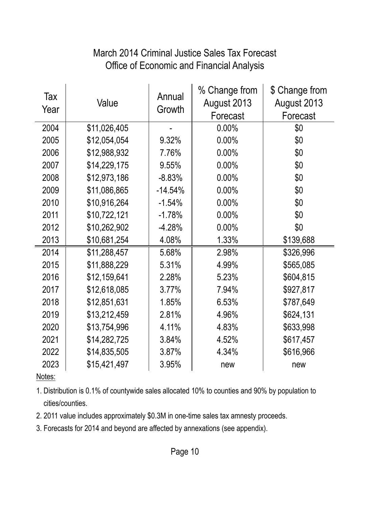# March 2014 Criminal Justice Sales Tax Forecast Office of Economic and Financial Analysis

| Tax<br>Year | Value        | Annual<br>Growth | % Change from<br>August 2013<br>Forecast | \$ Change from<br>August 2013<br>Forecast |
|-------------|--------------|------------------|------------------------------------------|-------------------------------------------|
| 2004        | \$11,026,405 |                  | 0.00%                                    | \$0                                       |
| 2005        | \$12,054,054 | 9.32%            | 0.00%                                    | \$0                                       |
| 2006        | \$12,988,932 | 7.76%            | 0.00%                                    | \$0                                       |
| 2007        | \$14,229,175 | 9.55%            | 0.00%                                    | \$0                                       |
| 2008        | \$12,973,186 | $-8.83%$         | 0.00%                                    | \$0                                       |
| 2009        | \$11,086,865 | $-14.54%$        | 0.00%                                    | \$0                                       |
| 2010        | \$10,916,264 | $-1.54%$         | 0.00%                                    | \$0                                       |
| 2011        | \$10,722,121 | $-1.78%$         | 0.00%                                    | \$0                                       |
| 2012        | \$10,262,902 | $-4.28%$         | 0.00%                                    | \$0                                       |
| 2013        | \$10,681,254 | 4.08%            | 1.33%                                    | \$139,688                                 |
| 2014        | \$11,288,457 | 5.68%            | 2.98%                                    | \$326,996                                 |
| 2015        | \$11,888,229 | 5.31%            | 4.99%                                    | \$565,085                                 |
| 2016        | \$12,159,641 | 2.28%            | 5.23%                                    | \$604,815                                 |
| 2017        | \$12,618,085 | 3.77%            | 7.94%                                    | \$927,817                                 |
| 2018        | \$12,851,631 | 1.85%            | 6.53%                                    | \$787,649                                 |
| 2019        | \$13,212,459 | 2.81%            | 4.96%                                    | \$624,131                                 |
| 2020        | \$13,754,996 | 4.11%            | 4.83%                                    | \$633,998                                 |
| 2021        | \$14,282,725 | 3.84%            | 4.52%                                    | \$617,457                                 |
| 2022        | \$14,835,505 | 3.87%            | 4.34%                                    | \$616,966                                 |
| 2023        | \$15,421,497 | 3.95%            | new                                      | new                                       |

Notes:

1. Distribution is 0.1% of countywide sales allocated 10% to counties and 90% by population to cities/counties.

2. 2011 value includes approximately \$0.3M in one-time sales tax amnesty proceeds.

3. Forecasts for 2014 and beyond are affected by annexations (see appendix).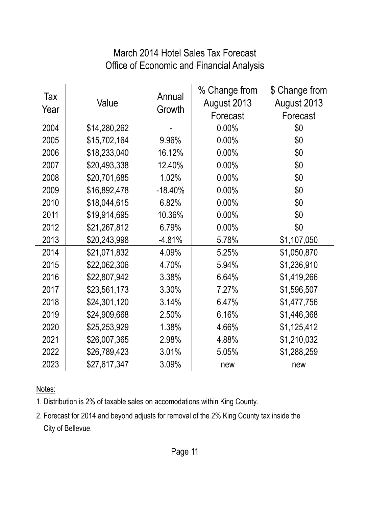#### March 2014 Hotel Sales Tax Forecast Office of Economic and Financial Analysis

| Tax<br>Year | Value        | Annual<br>Growth | % Change from<br>August 2013<br>Forecast | \$ Change from<br>August 2013<br>Forecast |
|-------------|--------------|------------------|------------------------------------------|-------------------------------------------|
| 2004        | \$14,280,262 |                  | 0.00%                                    | \$0                                       |
| 2005        | \$15,702,164 | 9.96%            | 0.00%                                    | \$0                                       |
| 2006        | \$18,233,040 | 16.12%           | 0.00%                                    | \$0                                       |
| 2007        | \$20,493,338 | 12.40%           | 0.00%                                    | \$0                                       |
| 2008        | \$20,701,685 | 1.02%            | 0.00%                                    | \$0                                       |
| 2009        | \$16,892,478 | $-18.40%$        | 0.00%                                    | \$0                                       |
| 2010        | \$18,044,615 | 6.82%            | 0.00%                                    | \$0                                       |
| 2011        | \$19,914,695 | 10.36%           | 0.00%                                    | \$0                                       |
| 2012        | \$21,267,812 | 6.79%            | 0.00%                                    | \$0                                       |
| 2013        | \$20,243,998 | $-4.81%$         | 5.78%                                    | \$1,107,050                               |
| 2014        | \$21,071,832 | 4.09%            | 5.25%                                    | \$1,050,870                               |
| 2015        | \$22,062,306 | 4.70%            | 5.94%                                    | \$1,236,910                               |
| 2016        | \$22,807,942 | 3.38%            | 6.64%                                    | \$1,419,266                               |
| 2017        | \$23,561,173 | 3.30%            | 7.27%                                    | \$1,596,507                               |
| 2018        | \$24,301,120 | 3.14%            | 6.47%                                    | \$1,477,756                               |
| 2019        | \$24,909,668 | 2.50%            | 6.16%                                    | \$1,446,368                               |
| 2020        | \$25,253,929 | 1.38%            | 4.66%                                    | \$1,125,412                               |
| 2021        | \$26,007,365 | 2.98%            | 4.88%                                    | \$1,210,032                               |
| 2022        | \$26,789,423 | 3.01%            | 5.05%                                    | \$1,288,259                               |
| 2023        | \$27,617,347 | 3.09%            | new                                      | new                                       |

Notes:

1. Distribution is 2% of taxable sales on accomodations within King County.

2. Forecast for 2014 and beyond adjusts for removal of the 2% King County tax inside the City of Bellevue.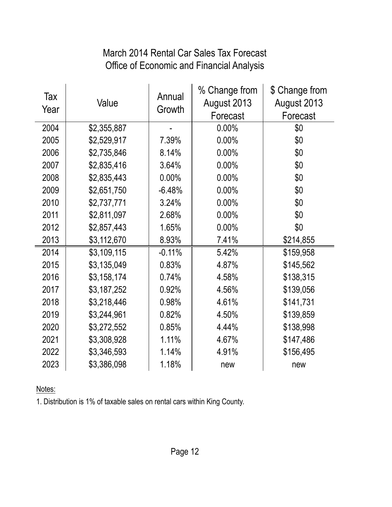# March 2014 Rental Car Sales Tax Forecast Office of Economic and Financial Analysis

| Tax<br>Year | Value       | Annual<br>Growth | % Change from<br>August 2013<br>Forecast | \$ Change from<br>August 2013<br>Forecast |
|-------------|-------------|------------------|------------------------------------------|-------------------------------------------|
| 2004        | \$2,355,887 |                  | 0.00%                                    | \$0                                       |
| 2005        | \$2,529,917 | 7.39%            | 0.00%                                    | \$0                                       |
| 2006        | \$2,735,846 | 8.14%            | 0.00%                                    | \$0                                       |
| 2007        | \$2,835,416 | 3.64%            | 0.00%                                    | \$0                                       |
| 2008        | \$2,835,443 | 0.00%            | 0.00%                                    | \$0                                       |
| 2009        | \$2,651,750 | $-6.48%$         | 0.00%                                    | \$0                                       |
| 2010        | \$2,737,771 | 3.24%            | 0.00%                                    | \$0                                       |
| 2011        | \$2,811,097 | 2.68%            | 0.00%                                    | \$0                                       |
| 2012        | \$2,857,443 | 1.65%            | 0.00%                                    | \$0                                       |
| 2013        | \$3,112,670 | 8.93%            | 7.41%                                    | \$214,855                                 |
| 2014        | \$3,109,115 | $-0.11%$         | 5.42%                                    | \$159,958                                 |
| 2015        | \$3,135,049 | 0.83%            | 4.87%                                    | \$145,562                                 |
| 2016        | \$3,158,174 | 0.74%            | 4.58%                                    | \$138,315                                 |
| 2017        | \$3,187,252 | 0.92%            | 4.56%                                    | \$139,056                                 |
| 2018        | \$3,218,446 | 0.98%            | 4.61%                                    | \$141,731                                 |
| 2019        | \$3,244,961 | 0.82%            | 4.50%                                    | \$139,859                                 |
| 2020        | \$3,272,552 | 0.85%            | 4.44%                                    | \$138,998                                 |
| 2021        | \$3,308,928 | 1.11%            | 4.67%                                    | \$147,486                                 |
| 2022        | \$3,346,593 | 1.14%            | 4.91%                                    | \$156,495                                 |
| 2023        | \$3,386,098 | 1.18%            | new                                      | new                                       |

Notes:

1. Distribution is 1% of taxable sales on rental cars within King County.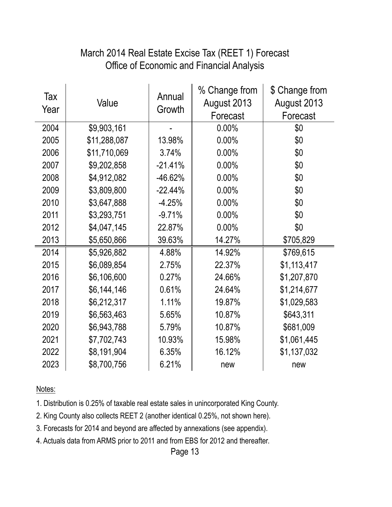#### Office of Economic and Financial Analysis March 2014 Real Estate Excise Tax (REET 1) Forecast

| Tax<br>Year | Value        | Annual<br>Growth | % Change from<br>August 2013<br>Forecast | \$ Change from<br>August 2013<br>Forecast |
|-------------|--------------|------------------|------------------------------------------|-------------------------------------------|
| 2004        | \$9,903,161  |                  | 0.00%                                    | \$0                                       |
| 2005        | \$11,288,087 | 13.98%           | 0.00%                                    | \$0                                       |
| 2006        | \$11,710,069 | 3.74%            | 0.00%                                    | \$0                                       |
| 2007        | \$9,202,858  | $-21.41%$        | 0.00%                                    | \$0                                       |
| 2008        | \$4,912,082  | -46.62%          | 0.00%                                    | \$0                                       |
| 2009        | \$3,809,800  | $-22.44%$        | 0.00%                                    | \$0                                       |
| 2010        | \$3,647,888  | $-4.25%$         | 0.00%                                    | \$0                                       |
| 2011        | \$3,293,751  | $-9.71%$         | 0.00%                                    | \$0                                       |
| 2012        | \$4,047,145  | 22.87%           | 0.00%                                    | \$0                                       |
| 2013        | \$5,650,866  | 39.63%           | 14.27%                                   | \$705,829                                 |
| 2014        | \$5,926,882  | 4.88%            | 14.92%                                   | \$769,615                                 |
| 2015        | \$6,089,854  | 2.75%            | 22.37%                                   | \$1,113,417                               |
| 2016        | \$6,106,600  | 0.27%            | 24.66%                                   | \$1,207,870                               |
| 2017        | \$6,144,146  | 0.61%            | 24.64%                                   | \$1,214,677                               |
| 2018        | \$6,212,317  | 1.11%            | 19.87%                                   | \$1,029,583                               |
| 2019        | \$6,563,463  | 5.65%            | 10.87%                                   | \$643,311                                 |
| 2020        | \$6,943,788  | 5.79%            | 10.87%                                   | \$681,009                                 |
| 2021        | \$7,702,743  | 10.93%           | 15.98%                                   | \$1,061,445                               |
| 2022        | \$8,191,904  | 6.35%            | 16.12%                                   | \$1,137,032                               |
| 2023        | \$8,700,756  | 6.21%            | new                                      | new                                       |

Notes:

1. Distribution is 0.25% of taxable real estate sales in unincorporated King County.

2. King County also collects REET 2 (another identical 0.25%, not shown here).

3. Forecasts for 2014 and beyond are affected by annexations (see appendix).

4. Actuals data from ARMS prior to 2011 and from EBS for 2012 and thereafter.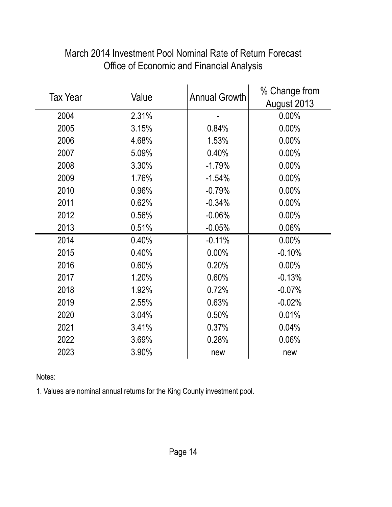| <b>Tax Year</b> | Value | <b>Annual Growth</b> | % Change from |
|-----------------|-------|----------------------|---------------|
|                 |       |                      | August 2013   |
| 2004            | 2.31% |                      | 0.00%         |
| 2005            | 3.15% | 0.84%                | 0.00%         |
| 2006            | 4.68% | 1.53%                | 0.00%         |
| 2007            | 5.09% | 0.40%                | 0.00%         |
| 2008            | 3.30% | $-1.79%$             | 0.00%         |
| 2009            | 1.76% | $-1.54%$             | 0.00%         |
| 2010            | 0.96% | $-0.79%$             | 0.00%         |
| 2011            | 0.62% | $-0.34%$             | 0.00%         |
| 2012            | 0.56% | $-0.06%$             | 0.00%         |
| 2013            | 0.51% | $-0.05%$             | 0.06%         |
| 2014            | 0.40% | $-0.11%$             | 0.00%         |
| 2015            | 0.40% | 0.00%                | $-0.10%$      |
| 2016            | 0.60% | 0.20%                | 0.00%         |
| 2017            | 1.20% | 0.60%                | $-0.13%$      |
| 2018            | 1.92% | 0.72%                | $-0.07%$      |
| 2019            | 2.55% | 0.63%                | $-0.02%$      |
| 2020            | 3.04% | 0.50%                | 0.01%         |
| 2021            | 3.41% | 0.37%                | 0.04%         |
| 2022            | 3.69% | 0.28%                | 0.06%         |
| 2023            | 3.90% | new                  | new           |

# March 2014 Investment Pool Nominal Rate of Return Forecast Office of Economic and Financial Analysis

Notes:

1. Values are nominal annual returns for the King County investment pool.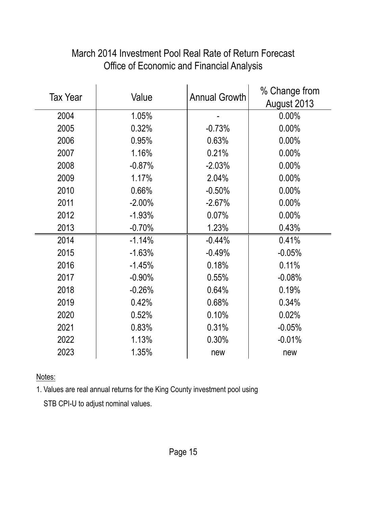| <b>Tax Year</b> | Value    | <b>Annual Growth</b> | % Change from |
|-----------------|----------|----------------------|---------------|
|                 |          |                      | August 2013   |
| 2004            | 1.05%    |                      | 0.00%         |
| 2005            | 0.32%    | $-0.73%$             | 0.00%         |
| 2006            | 0.95%    | 0.63%                | 0.00%         |
| 2007            | 1.16%    | 0.21%                | 0.00%         |
| 2008            | $-0.87%$ | $-2.03%$             | 0.00%         |
| 2009            | 1.17%    | 2.04%                | 0.00%         |
| 2010            | 0.66%    | $-0.50%$             | 0.00%         |
| 2011            | $-2.00%$ | $-2.67%$             | 0.00%         |
| 2012            | $-1.93%$ | 0.07%                | 0.00%         |
| 2013            | $-0.70%$ | 1.23%                | 0.43%         |
| 2014            | $-1.14%$ | $-0.44%$             | 0.41%         |
| 2015            | $-1.63%$ | $-0.49%$             | $-0.05%$      |
| 2016            | $-1.45%$ | 0.18%                | 0.11%         |
| 2017            | $-0.90%$ | 0.55%                | $-0.08%$      |
| 2018            | $-0.26%$ | 0.64%                | 0.19%         |
| 2019            | 0.42%    | 0.68%                | 0.34%         |
| 2020            | 0.52%    | 0.10%                | 0.02%         |
| 2021            | 0.83%    | 0.31%                | $-0.05%$      |
| 2022            | 1.13%    | 0.30%                | $-0.01%$      |
| 2023            | 1.35%    | new                  | new           |

# March 2014 Investment Pool Real Rate of Return Forecast Office of Economic and Financial Analysis

Notes:

1. Values are real annual returns for the King County investment pool using

STB CPI-U to adjust nominal values.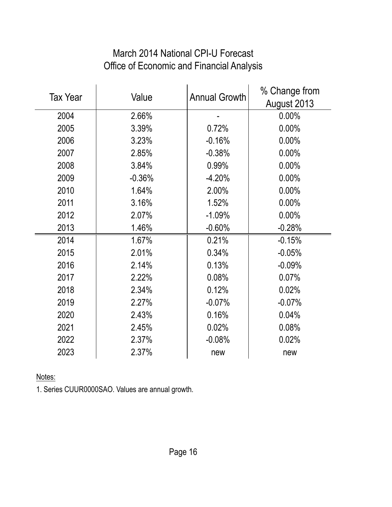| <b>Tax Year</b> | Value    | <b>Annual Growth</b> | % Change from<br>August 2013 |
|-----------------|----------|----------------------|------------------------------|
| 2004            | 2.66%    |                      | 0.00%                        |
| 2005            | 3.39%    | 0.72%                | 0.00%                        |
| 2006            | 3.23%    | $-0.16%$             | 0.00%                        |
| 2007            | 2.85%    | $-0.38%$             | 0.00%                        |
| 2008            | 3.84%    | 0.99%                | 0.00%                        |
| 2009            | $-0.36%$ | $-4.20%$             | 0.00%                        |
| 2010            | 1.64%    | 2.00%                | 0.00%                        |
| 2011            | 3.16%    | 1.52%                | 0.00%                        |
| 2012            | 2.07%    | $-1.09%$             | 0.00%                        |
| 2013            | 1.46%    | $-0.60%$             | $-0.28%$                     |
| 2014            | 1.67%    | 0.21%                | $-0.15%$                     |
| 2015            | 2.01%    | 0.34%                | $-0.05%$                     |
| 2016            | 2.14%    | 0.13%                | $-0.09%$                     |
| 2017            | 2.22%    | 0.08%                | 0.07%                        |
| 2018            | 2.34%    | 0.12%                | 0.02%                        |
| 2019            | 2.27%    | $-0.07%$             | $-0.07%$                     |
| 2020            | 2.43%    | 0.16%                | 0.04%                        |
| 2021            | 2.45%    | 0.02%                | 0.08%                        |
| 2022            | 2.37%    | $-0.08%$             | 0.02%                        |
| 2023            | 2.37%    | new                  | new                          |

# March 2014 National CPI-U Forecast Office of Economic and Financial Analysis

Notes:

1. Series CUUR0000SAO. Values are annual growth.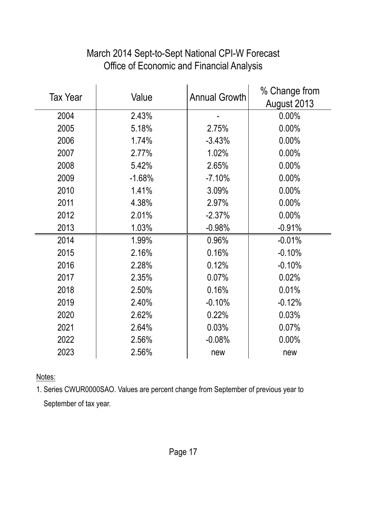| <b>Tax Year</b> | Value    | <b>Annual Growth</b> | % Change from |
|-----------------|----------|----------------------|---------------|
|                 |          |                      | August 2013   |
| 2004            | 2.43%    |                      | $0.00\%$      |
| 2005            | 5.18%    | 2.75%                | 0.00%         |
| 2006            | 1.74%    | $-3.43%$             | 0.00%         |
| 2007            | 2.77%    | 1.02%                | 0.00%         |
| 2008            | 5.42%    | 2.65%                | 0.00%         |
| 2009            | $-1.68%$ | $-7.10%$             | 0.00%         |
| 2010            | 1.41%    | 3.09%                | 0.00%         |
| 2011            | 4.38%    | 2.97%                | 0.00%         |
| 2012            | 2.01%    | $-2.37%$             | 0.00%         |
| 2013            | 1.03%    | $-0.98%$             | $-0.91%$      |
| 2014            | 1.99%    | 0.96%                | $-0.01%$      |
| 2015            | 2.16%    | 0.16%                | $-0.10%$      |
| 2016            | 2.28%    | 0.12%                | $-0.10%$      |
| 2017            | 2.35%    | 0.07%                | 0.02%         |
| 2018            | 2.50%    | 0.16%                | 0.01%         |
| 2019            | 2.40%    | $-0.10%$             | $-0.12%$      |
| 2020            | 2.62%    | 0.22%                | 0.03%         |
| 2021            | 2.64%    | 0.03%                | 0.07%         |
| 2022            | 2.56%    | $-0.08%$             | 0.00%         |
| 2023            | 2.56%    | new                  | new           |

# March 2014 Sept-to-Sept National CPI-W Forecast Office of Economic and Financial Analysis

Notes:

1. Series CWUR0000SAO. Values are percent change from September of previous year to September of tax year.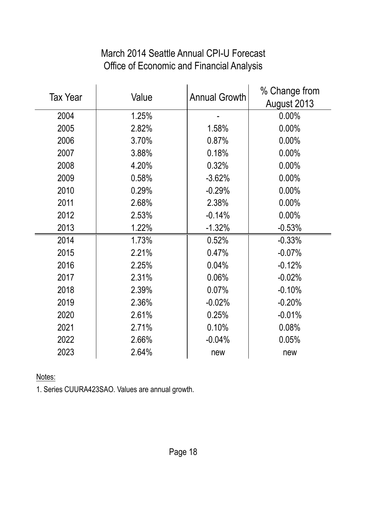# March 2014 Seattle Annual CPI-U Forecast Office of Economic and Financial Analysis

| <b>Tax Year</b> | Value | <b>Annual Growth</b> | % Change from |
|-----------------|-------|----------------------|---------------|
|                 |       |                      | August 2013   |
| 2004            | 1.25% |                      | 0.00%         |
| 2005            | 2.82% | 1.58%                | 0.00%         |
| 2006            | 3.70% | 0.87%                | 0.00%         |
| 2007            | 3.88% | 0.18%                | 0.00%         |
| 2008            | 4.20% | 0.32%                | 0.00%         |
| 2009            | 0.58% | $-3.62%$             | 0.00%         |
| 2010            | 0.29% | $-0.29%$             | 0.00%         |
| 2011            | 2.68% | 2.38%                | 0.00%         |
| 2012            | 2.53% | $-0.14%$             | 0.00%         |
| 2013            | 1.22% | $-1.32%$             | $-0.53%$      |
| 2014            | 1.73% | 0.52%                | $-0.33%$      |
| 2015            | 2.21% | 0.47%                | $-0.07%$      |
| 2016            | 2.25% | 0.04%                | $-0.12%$      |
| 2017            | 2.31% | 0.06%                | $-0.02%$      |
| 2018            | 2.39% | 0.07%                | $-0.10%$      |
| 2019            | 2.36% | $-0.02%$             | $-0.20%$      |
| 2020            | 2.61% | 0.25%                | $-0.01%$      |
| 2021            | 2.71% | 0.10%                | 0.08%         |
| 2022            | 2.66% | $-0.04%$             | 0.05%         |
| 2023            | 2.64% | new                  | new           |

Notes:

1. Series CUURA423SAO. Values are annual growth.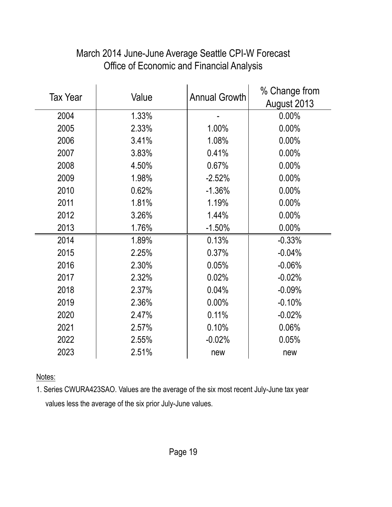| <b>Tax Year</b> | Value | <b>Annual Growth</b> | % Change from |
|-----------------|-------|----------------------|---------------|
|                 |       |                      | August 2013   |
| 2004            | 1.33% |                      | 0.00%         |
| 2005            | 2.33% | 1.00%                | 0.00%         |
| 2006            | 3.41% | 1.08%                | 0.00%         |
| 2007            | 3.83% | 0.41%                | 0.00%         |
| 2008            | 4.50% | 0.67%                | 0.00%         |
| 2009            | 1.98% | $-2.52%$             | 0.00%         |
| 2010            | 0.62% | $-1.36%$             | 0.00%         |
| 2011            | 1.81% | 1.19%                | 0.00%         |
| 2012            | 3.26% | 1.44%                | 0.00%         |
| 2013            | 1.76% | $-1.50%$             | 0.00%         |
| 2014            | 1.89% | 0.13%                | $-0.33%$      |
| 2015            | 2.25% | 0.37%                | $-0.04%$      |
| 2016            | 2.30% | 0.05%                | $-0.06%$      |
| 2017            | 2.32% | 0.02%                | $-0.02%$      |
| 2018            | 2.37% | 0.04%                | $-0.09%$      |
| 2019            | 2.36% | 0.00%                | $-0.10%$      |
| 2020            | 2.47% | 0.11%                | $-0.02%$      |
| 2021            | 2.57% | 0.10%                | 0.06%         |
| 2022            | 2.55% | $-0.02%$             | 0.05%         |
| 2023            | 2.51% | new                  | new           |

# March 2014 June-June Average Seattle CPI-W Forecast Office of Economic and Financial Analysis

Notes:

1. Series CWURA423SAO. Values are the average of the six most recent July-June tax year values less the average of the six prior July-June values.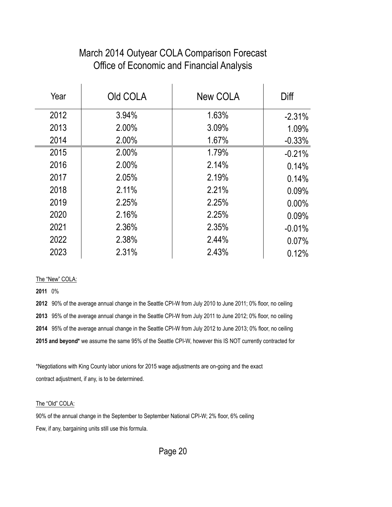#### March 2014 Outyear COLA Comparison Forecast Office of Economic and Financial Analysis

| Year | Old COLA | New COLA | Diff     |
|------|----------|----------|----------|
| 2012 | 3.94%    | 1.63%    | $-2.31%$ |
| 2013 | 2.00%    | 3.09%    | 1.09%    |
| 2014 | 2.00%    | 1.67%    | $-0.33%$ |
| 2015 | 2.00%    | 1.79%    | $-0.21%$ |
| 2016 | 2.00%    | 2.14%    | 0.14%    |
| 2017 | 2.05%    | 2.19%    | 0.14%    |
| 2018 | 2.11%    | 2.21%    | 0.09%    |
| 2019 | 2.25%    | 2.25%    | $0.00\%$ |
| 2020 | 2.16%    | 2.25%    | 0.09%    |
| 2021 | 2.36%    | 2.35%    | $-0.01%$ |
| 2022 | 2.38%    | 2.44%    | 0.07%    |
| 2023 | 2.31%    | 2.43%    | 0.12%    |

#### The "New" COLA:

**2011** 0%

 90% of the average annual change in the Seattle CPI-W from July 2010 to June 2011; 0% floor, no ceiling 95% of the average annual change in the Seattle CPI-W from July 2011 to June 2012; 0% floor, no ceiling 95% of the average annual change in the Seattle CPI-W from July 2012 to June 2013; 0% floor, no ceiling **2015 and beyond\*** we assume the same 95% of the Seattle CPI-W, however this IS NOT currently contracted for

\*Negotiations with King County labor unions for 2015 wage adjustments are on-going and the exact contract adjustment, if any, is to be determined.

The "Old" COLA:

90% of the annual change in the September to September National CPI-W; 2% floor, 6% ceiling Few, if any, bargaining units still use this formula.

Page 20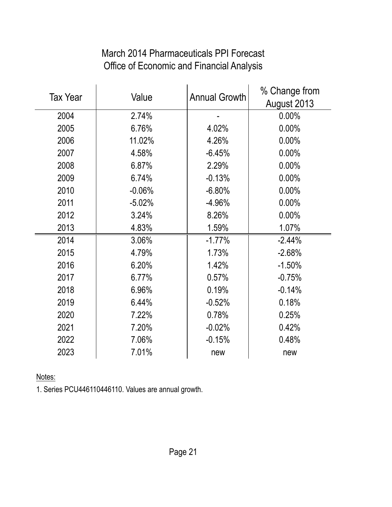# March 2014 Pharmaceuticals PPI Forecast Office of Economic and Financial Analysis

| <b>Tax Year</b> | Value    | <b>Annual Growth</b> | % Change from |
|-----------------|----------|----------------------|---------------|
|                 |          |                      | August 2013   |
| 2004            | 2.74%    |                      | 0.00%         |
| 2005            | 6.76%    | 4.02%                | 0.00%         |
| 2006            | 11.02%   | 4.26%                | 0.00%         |
| 2007            | 4.58%    | $-6.45%$             | 0.00%         |
| 2008            | 6.87%    | 2.29%                | 0.00%         |
| 2009            | 6.74%    | $-0.13%$             | 0.00%         |
| 2010            | $-0.06%$ | $-6.80%$             | 0.00%         |
| 2011            | $-5.02%$ | $-4.96%$             | 0.00%         |
| 2012            | 3.24%    | 8.26%                | 0.00%         |
| 2013            | 4.83%    | 1.59%                | 1.07%         |
| 2014            | 3.06%    | $-1.77%$             | $-2.44%$      |
| 2015            | 4.79%    | 1.73%                | $-2.68%$      |
| 2016            | 6.20%    | 1.42%                | $-1.50%$      |
| 2017            | 6.77%    | 0.57%                | $-0.75%$      |
| 2018            | 6.96%    | 0.19%                | $-0.14%$      |
| 2019            | 6.44%    | $-0.52%$             | 0.18%         |
| 2020            | 7.22%    | 0.78%                | 0.25%         |
| 2021            | 7.20%    | $-0.02%$             | 0.42%         |
| 2022            | 7.06%    | $-0.15%$             | 0.48%         |
| 2023            | 7.01%    | new                  | new           |

Notes:

1. Series PCU446110446110. Values are annual growth.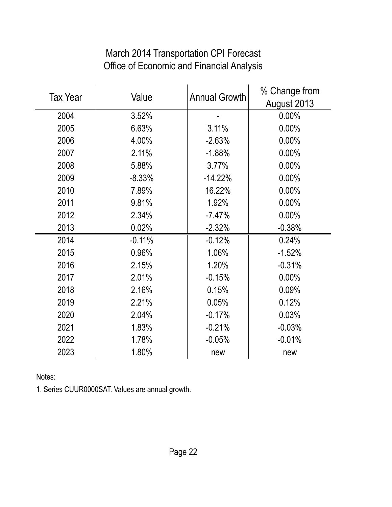# March 2014 Transportation CPI Forecast Office of Economic and Financial Analysis

| Value<br><b>Tax Year</b> |          | <b>Annual Growth</b> | % Change from |  |
|--------------------------|----------|----------------------|---------------|--|
|                          |          |                      | August 2013   |  |
| 2004                     | 3.52%    |                      | 0.00%         |  |
| 2005                     | 6.63%    | 3.11%                | 0.00%         |  |
| 2006                     | 4.00%    | $-2.63%$             | 0.00%         |  |
| 2007                     | 2.11%    | $-1.88%$             | 0.00%         |  |
| 2008                     | 5.88%    | 3.77%                | 0.00%         |  |
| 2009                     | $-8.33%$ | $-14.22%$            | 0.00%         |  |
| 2010                     | 7.89%    | 16.22%               | 0.00%         |  |
| 2011                     | 9.81%    | 1.92%                | 0.00%         |  |
| 2012                     | 2.34%    | $-7.47%$             | 0.00%         |  |
| 2013                     | 0.02%    | $-2.32%$             | $-0.38%$      |  |
| 2014                     | $-0.11%$ | $-0.12%$             | 0.24%         |  |
| 2015                     | 0.96%    | 1.06%                | $-1.52%$      |  |
| 2016                     | 2.15%    | 1.20%                | $-0.31%$      |  |
| 2017                     | 2.01%    | $-0.15%$             | 0.00%         |  |
| 2018                     | 2.16%    | 0.15%                | 0.09%         |  |
| 2019                     | 2.21%    | 0.05%                | 0.12%         |  |
| 2020                     | 2.04%    | $-0.17%$             | 0.03%         |  |
| 2021                     | 1.83%    | $-0.21%$             | $-0.03%$      |  |
| 2022                     | 1.78%    | $-0.05%$             | $-0.01%$      |  |
| 2023                     | 1.80%    | new                  | new           |  |

Notes:

1. Series CUUR0000SAT. Values are annual growth.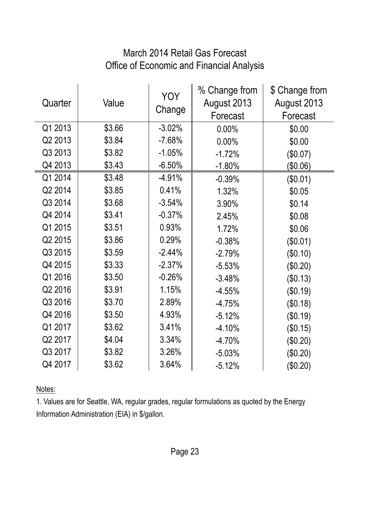# March 2014 Retail Gas Forecast Office of Economic and Financial Analysis

| Quarter | Value  | <b>YOY</b><br>Change | % Change from<br>August 2013<br>Forecast | \$ Change from<br>August 2013<br>Forecast |
|---------|--------|----------------------|------------------------------------------|-------------------------------------------|
| Q1 2013 | \$3.66 | $-3.02%$             | 0.00%                                    | \$0.00                                    |
| Q2 2013 | \$3.84 | $-7.68%$             | 0.00%                                    | \$0.00                                    |
| Q3 2013 | \$3.82 | $-1.05%$             | $-1.72%$                                 | (\$0.07)                                  |
| Q4 2013 | \$3.43 | $-6.50%$             | $-1.80%$                                 | \$0.06)                                   |
| Q1 2014 | \$3.48 | $-4.91%$             | $-0.39%$                                 | (\$0.01)                                  |
| Q2 2014 | \$3.85 | 0.41%                | 1.32%                                    | \$0.05                                    |
| Q3 2014 | \$3.68 | $-3.54%$             | 3.90%                                    | \$0.14                                    |
| Q4 2014 | \$3.41 | $-0.37%$             | 2.45%                                    | \$0.08                                    |
| Q1 2015 | \$3.51 | 0.93%                | 1.72%                                    | \$0.06                                    |
| Q2 2015 | \$3.86 | 0.29%                | $-0.38%$                                 | (\$0.01)                                  |
| Q3 2015 | \$3.59 | $-2.44%$             | $-2.79%$                                 | (\$0.10)                                  |
| Q4 2015 | \$3.33 | $-2.37%$             | $-5.53%$                                 | (\$0.20)                                  |
| Q1 2016 | \$3.50 | $-0.26%$             | $-3.48%$                                 | (\$0.13)                                  |
| Q2 2016 | \$3.91 | 1.15%                | $-4.55%$                                 | (\$0.19)                                  |
| Q3 2016 | \$3.70 | 2.89%                | $-4.75%$                                 | (\$0.18)                                  |
| Q4 2016 | \$3.50 | 4.93%                | $-5.12%$                                 | (\$0.19)                                  |
| Q1 2017 | \$3.62 | 3.41%                | $-4.10%$                                 | (\$0.15)                                  |
| Q2 2017 | \$4.04 | 3.34%                | $-4.70%$                                 | (\$0.20)                                  |
| Q3 2017 | \$3.82 | 3.26%                | $-5.03%$                                 | (\$0.20)                                  |
| Q4 2017 | \$3.62 | 3.64%                | $-5.12%$                                 | \$0.20)                                   |

Notes:

1. Values are for Seattle, WA, regular grades, regular formulations as quoted by the Energy Information Administration (EIA) in \$/gallon.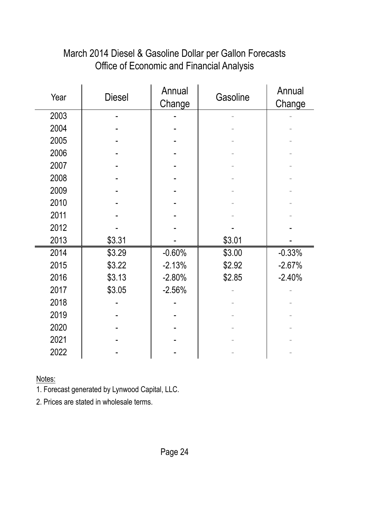| Office of Economic and Financial Analysis |               |                  |          |                  |
|-------------------------------------------|---------------|------------------|----------|------------------|
| Year                                      | <b>Diesel</b> | Annual<br>Change | Gasoline | Annual<br>Change |
| 2003                                      |               |                  |          |                  |
| 2004                                      |               |                  |          |                  |
| 2005                                      |               |                  |          |                  |
| 2006                                      |               |                  |          |                  |
| 2007                                      |               |                  |          |                  |
| 2008                                      |               |                  |          |                  |
| 2009                                      |               |                  |          |                  |
| 2010                                      |               |                  |          |                  |
| 2011                                      |               |                  |          |                  |
| 2012                                      |               |                  |          |                  |
| 2013                                      |               |                  |          |                  |
| 2014                                      | \$3.29        | $-0.60%$         | \$3.00   | $-0.33%$         |
| 2015                                      | \$3.22        | $-2.13%$         | \$2.92   | $-2.67%$         |
| 2016                                      | \$3.13        | $-2.80%$         | \$2.85   | $-2.40%$         |
| 2017                                      | \$3.05        | $-2.56%$         |          |                  |
| 2018                                      |               |                  |          |                  |
| 2019                                      |               |                  |          |                  |

# March 2014 Diesel & Gasoline Dollar per Gallon Forecasts Office of Economic and Financial Analysis

Notes:

1. Forecast generated by Lynwood Capital, LLC.

2. Prices are stated in wholesale terms.

 - - - - 2021 | **- | - | - |** -2022 | **- | - | - |** - |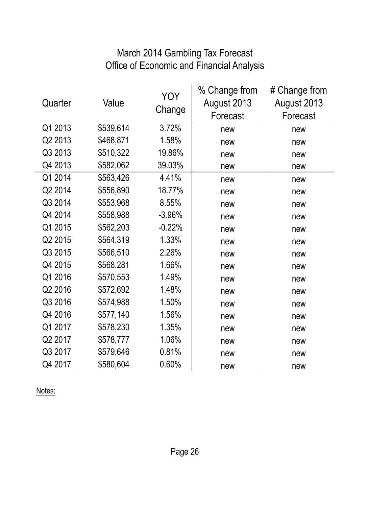## March 2014 Gambling Tax Forecast Office of Economic and Financial Analysis

| Quarter | Value     | <b>YOY</b><br>Change | % Change from<br>August 2013<br>Forecast | # Change from<br>August 2013<br>Forecast |
|---------|-----------|----------------------|------------------------------------------|------------------------------------------|
| Q1 2013 | \$539,614 | 3.72%                | new                                      | new                                      |
| Q2 2013 | \$468,871 | 1.58%                | new                                      | new                                      |
| Q3 2013 | \$510,322 | 19.86%               | new                                      | new                                      |
| Q4 2013 | \$582,062 | 39.03%               | new                                      | new                                      |
| Q1 2014 | \$563,426 | 4.41%                | new                                      | new                                      |
| Q2 2014 | \$556,890 | 18.77%               | new                                      | new                                      |
| Q3 2014 | \$553,968 | 8.55%                | new                                      | new                                      |
| Q4 2014 | \$558,988 | $-3.96%$             | new                                      | new                                      |
| Q1 2015 | \$562,203 | $-0.22%$             | new                                      | new                                      |
| Q2 2015 | \$564,319 | 1.33%                | new                                      | new                                      |
| Q3 2015 | \$566,510 | 2.26%                | new                                      | new                                      |
| Q4 2015 | \$568,281 | 1.66%                | new                                      | new                                      |
| Q1 2016 | \$570,553 | 1.49%                | new                                      | new                                      |
| Q2 2016 | \$572,692 | 1.48%                | new                                      | new                                      |
| Q3 2016 | \$574,988 | 1.50%                | new                                      | new                                      |
| Q4 2016 | \$577,140 | 1.56%                | new                                      | new                                      |
| Q1 2017 | \$578,230 | 1.35%                | new                                      | new                                      |
| Q2 2017 | \$578,777 | 1.06%                | new                                      | new                                      |
| Q3 2017 | \$579,646 | 0.81%                | new                                      | new                                      |
| Q4 2017 | \$580,604 | 0.60%                | new                                      | new                                      |

Notes: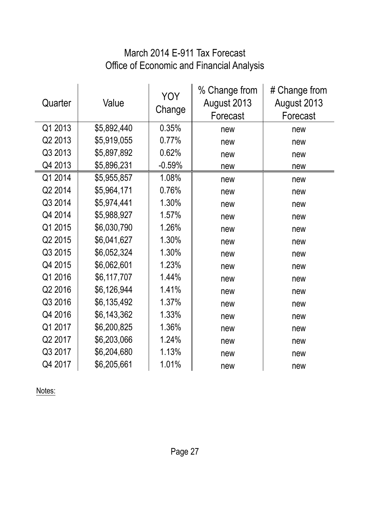# March 2014 E-911 Tax Forecast Office of Economic and Financial Analysis

| Quarter | Value       | <b>YOY</b><br>Change | % Change from<br>August 2013<br>Forecast | # Change from<br>August 2013<br>Forecast |
|---------|-------------|----------------------|------------------------------------------|------------------------------------------|
| Q1 2013 | \$5,892,440 | 0.35%                | new                                      | new                                      |
| Q2 2013 | \$5,919,055 | 0.77%                | new                                      | new                                      |
| Q3 2013 | \$5,897,892 | 0.62%                | new                                      | new                                      |
| Q4 2013 | \$5,896,231 | $-0.59%$             | new                                      | new                                      |
| Q1 2014 | \$5,955,857 | 1.08%                | new                                      | new                                      |
| Q2 2014 | \$5,964,171 | 0.76%                | new                                      | new                                      |
| Q3 2014 | \$5,974,441 | 1.30%                | new                                      | new                                      |
| Q4 2014 | \$5,988,927 | 1.57%                | new                                      | new                                      |
| Q1 2015 | \$6,030,790 | 1.26%                | new                                      | new                                      |
| Q2 2015 | \$6,041,627 | 1.30%                | new                                      | new                                      |
| Q3 2015 | \$6,052,324 | 1.30%                | new                                      | new                                      |
| Q4 2015 | \$6,062,601 | 1.23%                | new                                      | new                                      |
| Q1 2016 | \$6,117,707 | 1.44%                | new                                      | new                                      |
| Q2 2016 | \$6,126,944 | 1.41%                | new                                      | new                                      |
| Q3 2016 | \$6,135,492 | 1.37%                | new                                      | new                                      |
| Q4 2016 | \$6,143,362 | 1.33%                | new                                      | new                                      |
| Q1 2017 | \$6,200,825 | 1.36%                | new                                      | new                                      |
| Q2 2017 | \$6,203,066 | 1.24%                | new                                      | new                                      |
| Q3 2017 | \$6,204,680 | 1.13%                | new                                      | new                                      |
| Q4 2017 | \$6,205,661 | 1.01%                | new                                      | new                                      |

Notes: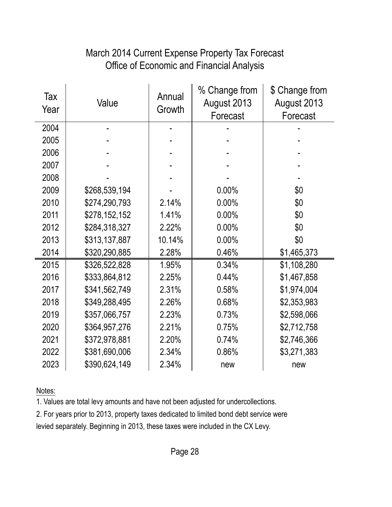# March 2014 Current Expense Property Tax Forecast Office of Economic and Financial Analysis

| Tax<br>Year | Value         | Annual<br>Growth | % Change from<br>August 2013<br>Forecast | \$ Change from<br>August 2013<br>Forecast |
|-------------|---------------|------------------|------------------------------------------|-------------------------------------------|
| 2004        |               |                  |                                          |                                           |
| 2005        |               |                  |                                          |                                           |
| 2006        |               |                  |                                          |                                           |
| 2007        |               |                  |                                          |                                           |
| 2008        |               |                  |                                          |                                           |
| 2009        | \$268,539,194 |                  | 0.00%                                    | \$0                                       |
| 2010        | \$274,290,793 | 2.14%            | 0.00%                                    | \$0                                       |
| 2011        | \$278,152,152 | 1.41%            | 0.00%                                    | \$0                                       |
| 2012        | \$284,318,327 | 2.22%            | 0.00%                                    | \$0                                       |
| 2013        | \$313,137,887 | 10.14%           | 0.00%                                    | \$0                                       |
| 2014        | \$320,290,885 | 2.28%            | 0.46%                                    | \$1,465,373                               |
| 2015        | \$326,522,828 | 1.95%            | 0.34%                                    | \$1,108,280                               |
| 2016        | \$333,864,812 | 2.25%            | 0.44%                                    | \$1,467,858                               |
| 2017        | \$341,562,749 | 2.31%            | 0.58%                                    | \$1,974,004                               |
| 2018        | \$349,288,495 | 2.26%            | 0.68%                                    | \$2,353,983                               |
| 2019        | \$357,066,757 | 2.23%            | 0.73%                                    | \$2,598,066                               |
| 2020        | \$364,957,276 | 2.21%            | 0.75%                                    | \$2,712,758                               |
| 2021        | \$372,978,881 | 2.20%            | 0.74%                                    | \$2,746,366                               |
| 2022        | \$381,690,006 | 2.34%            | 0.86%                                    | \$3,271,383                               |
| 2023        | \$390,624,149 | 2.34%            | new                                      | new                                       |

Notes:

1. Values are total levy amounts and have not been adjusted for undercollections.

2. For years prior to 2013, property taxes dedicated to limited bond debt service were

levied separately. Beginning in 2013, these taxes were included in the CX Levy.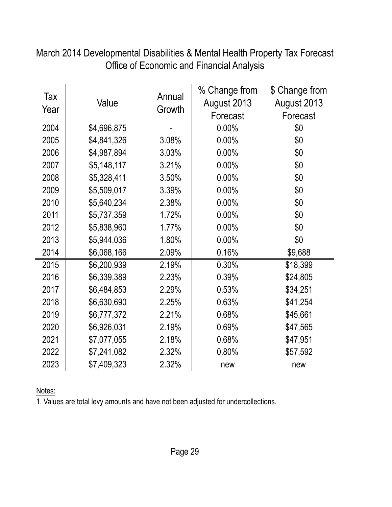| Tax<br>Year | Value       | Annual<br>Growth | % Change from<br>August 2013<br>Forecast | \$ Change from<br>August 2013<br>Forecast |
|-------------|-------------|------------------|------------------------------------------|-------------------------------------------|
| 2004        | \$4,696,875 |                  | 0.00%                                    | \$0                                       |
| 2005        | \$4,841,326 | 3.08%            | 0.00%                                    | \$0                                       |
| 2006        | \$4,987,894 | 3.03%            | 0.00%                                    | \$0                                       |
| 2007        | \$5,148,117 | 3.21%            | 0.00%                                    | \$0                                       |
| 2008        | \$5,328,411 | 3.50%            | 0.00%                                    | \$0                                       |
| 2009        | \$5,509,017 | 3.39%            | 0.00%                                    | \$0                                       |
| 2010        | \$5,640,234 | 2.38%            | 0.00%                                    | \$0                                       |
| 2011        | \$5,737,359 | 1.72%            | 0.00%                                    | \$0                                       |
| 2012        | \$5,838,960 | 1.77%            | 0.00%                                    | \$0                                       |
| 2013        | \$5,944,036 | 1.80%            | 0.00%                                    | \$0                                       |
| 2014        | \$6,068,166 | 2.09%            | 0.16%                                    | \$9,688                                   |
| 2015        | \$6,200,939 | 2.19%            | 0.30%                                    | \$18,399                                  |
| 2016        | \$6,339,389 | 2.23%            | 0.39%                                    | \$24,805                                  |
| 2017        | \$6,484,853 | 2.29%            | 0.53%                                    | \$34,251                                  |
| 2018        | \$6,630,690 | 2.25%            | 0.63%                                    | \$41,254                                  |
| 2019        | \$6,777,372 | 2.21%            | 0.68%                                    | \$45,661                                  |
| 2020        | \$6,926,031 | 2.19%            | 0.69%                                    | \$47,565                                  |
| 2021        | \$7,077,055 | 2.18%            | 0.68%                                    | \$47,951                                  |
| 2022        | \$7,241,082 | 2.32%            | 0.80%                                    | \$57,592                                  |
| 2023        | \$7,409,323 | 2.32%            | new                                      | new                                       |

March 2014 Developmental Disabilities & Mental Health Property Tax Forecast Office of Economic and Financial Analysis

Notes: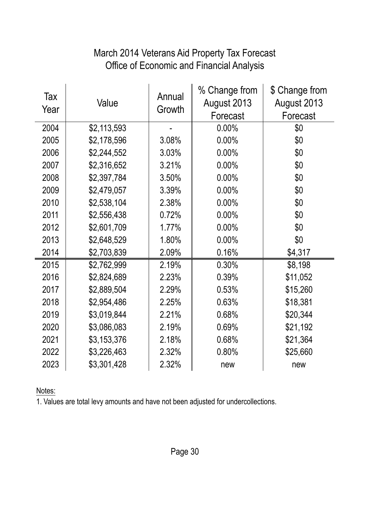# Office of Economic and Financial Analysis March 2014 Veterans Aid Property Tax Forecast

| Tax<br>Year | Value       | Annual<br>Growth | % Change from<br>August 2013<br>Forecast | \$ Change from<br>August 2013<br>Forecast |
|-------------|-------------|------------------|------------------------------------------|-------------------------------------------|
| 2004        | \$2,113,593 |                  | $0.00\%$                                 | \$0                                       |
| 2005        | \$2,178,596 | 3.08%            | 0.00%                                    | \$0                                       |
| 2006        | \$2,244,552 | 3.03%            | 0.00%                                    | \$0                                       |
| 2007        | \$2,316,652 | 3.21%            | 0.00%                                    | \$0                                       |
| 2008        | \$2,397,784 | 3.50%            | 0.00%                                    | \$0                                       |
| 2009        | \$2,479,057 | 3.39%            | 0.00%                                    | \$0                                       |
| 2010        | \$2,538,104 | 2.38%            | 0.00%                                    | \$0                                       |
| 2011        | \$2,556,438 | 0.72%            | 0.00%                                    | \$0                                       |
| 2012        | \$2,601,709 | 1.77%            | 0.00%                                    | \$0                                       |
| 2013        | \$2,648,529 | 1.80%            | 0.00%                                    | \$0                                       |
| 2014        | \$2,703,839 | 2.09%            | 0.16%                                    | \$4,317                                   |
| 2015        | \$2,762,999 | 2.19%            | 0.30%                                    | \$8,198                                   |
| 2016        | \$2,824,689 | 2.23%            | 0.39%                                    | \$11,052                                  |
| 2017        | \$2,889,504 | 2.29%            | 0.53%                                    | \$15,260                                  |
| 2018        | \$2,954,486 | 2.25%            | 0.63%                                    | \$18,381                                  |
| 2019        | \$3,019,844 | 2.21%            | 0.68%                                    | \$20,344                                  |
| 2020        | \$3,086,083 | 2.19%            | 0.69%                                    | \$21,192                                  |
| 2021        | \$3,153,376 | 2.18%            | 0.68%                                    | \$21,364                                  |
| 2022        | \$3,226,463 | 2.32%            | 0.80%                                    | \$25,660                                  |
| 2023        | \$3,301,428 | 2.32%            | new                                      | new                                       |

Notes: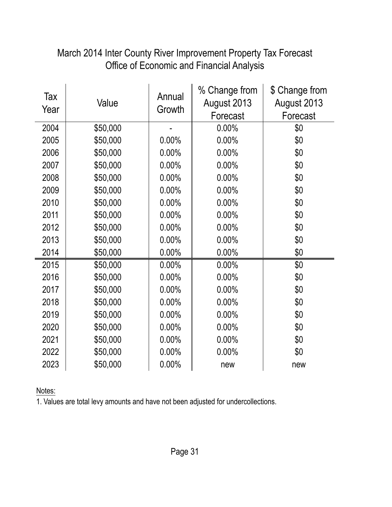| Tax<br>Year | Value    | Annual<br>Growth | % Change from<br>August 2013<br>Forecast | \$ Change from<br>August 2013<br>Forecast |
|-------------|----------|------------------|------------------------------------------|-------------------------------------------|
| 2004        | \$50,000 |                  | 0.00%                                    | \$0                                       |
| 2005        | \$50,000 | 0.00%            | 0.00%                                    | \$0                                       |
| 2006        | \$50,000 | 0.00%            | 0.00%                                    | \$0                                       |
| 2007        | \$50,000 | 0.00%            | 0.00%                                    | \$0                                       |
| 2008        | \$50,000 | 0.00%            | 0.00%                                    | \$0                                       |
| 2009        | \$50,000 | 0.00%            | 0.00%                                    | \$0                                       |
| 2010        | \$50,000 | 0.00%            | 0.00%                                    | \$0                                       |
| 2011        | \$50,000 | 0.00%            | 0.00%                                    | \$0                                       |
| 2012        | \$50,000 | 0.00%            | 0.00%                                    | \$0                                       |
| 2013        | \$50,000 | 0.00%            | 0.00%                                    | \$0                                       |
| 2014        | \$50,000 | 0.00%            | 0.00%                                    | \$0                                       |
| 2015        | \$50,000 | 0.00%            | 0.00%                                    | \$0                                       |
| 2016        | \$50,000 | 0.00%            | 0.00%                                    | \$0                                       |
| 2017        | \$50,000 | 0.00%            | 0.00%                                    | \$0                                       |
| 2018        | \$50,000 | 0.00%            | 0.00%                                    | \$0                                       |
| 2019        | \$50,000 | 0.00%            | 0.00%                                    | \$0                                       |
| 2020        | \$50,000 | 0.00%            | 0.00%                                    | \$0                                       |
| 2021        | \$50,000 | 0.00%            | 0.00%                                    | \$0                                       |
| 2022        | \$50,000 | 0.00%            | 0.00%                                    | \$0                                       |
| 2023        | \$50,000 | 0.00%            | new                                      | new                                       |

# March 2014 Inter County River Improvement Property Tax Forecast Office of Economic and Financial Analysis

Notes: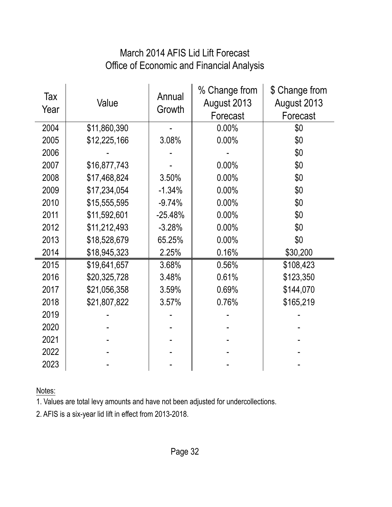# March 2014 AFIS Lid Lift Forecast Office of Economic and Financial Analysis

| Tax<br>Year | Value        | Annual<br>Growth | % Change from<br>August 2013<br>Forecast | \$ Change from<br>August 2013<br>Forecast |
|-------------|--------------|------------------|------------------------------------------|-------------------------------------------|
| 2004        | \$11,860,390 |                  | 0.00%                                    | \$0                                       |
| 2005        | \$12,225,166 | 3.08%            | 0.00%                                    | \$0                                       |
| 2006        |              |                  |                                          | \$0                                       |
| 2007        | \$16,877,743 |                  | 0.00%                                    | \$0                                       |
| 2008        | \$17,468,824 | 3.50%            | 0.00%                                    | \$0                                       |
| 2009        | \$17,234,054 | $-1.34%$         | 0.00%                                    | \$0                                       |
| 2010        | \$15,555,595 | $-9.74%$         | 0.00%                                    | \$0                                       |
| 2011        | \$11,592,601 | $-25.48%$        | 0.00%                                    | \$0                                       |
| 2012        | \$11,212,493 | $-3.28%$         | 0.00%                                    | \$0                                       |
| 2013        | \$18,528,679 | 65.25%           | 0.00%                                    | \$0                                       |
| 2014        | \$18,945,323 | 2.25%            | 0.16%                                    | \$30,200                                  |
| 2015        | \$19,641,657 | 3.68%            | 0.56%                                    | \$108,423                                 |
| 2016        | \$20,325,728 | 3.48%            | 0.61%                                    | \$123,350                                 |
| 2017        | \$21,056,358 | 3.59%            | 0.69%                                    | \$144,070                                 |
| 2018        | \$21,807,822 | 3.57%            | 0.76%                                    | \$165,219                                 |
| 2019        |              |                  |                                          |                                           |
| 2020        |              |                  |                                          |                                           |
| 2021        |              |                  |                                          |                                           |
| 2022        |              |                  |                                          |                                           |
| 2023        |              |                  |                                          |                                           |

Notes:

1. Values are total levy amounts and have not been adjusted for undercollections.

2. AFIS is a six-year lid lift in effect from 2013-2018.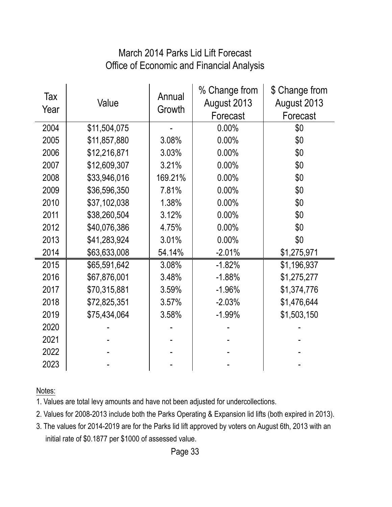#### Office of Economic and Financial Analysis March 2014 Parks Lid Lift Forecast

| Tax<br>Year | Value        | Annual<br>Growth | % Change from<br>August 2013<br>Forecast | \$ Change from<br>August 2013<br>Forecast |
|-------------|--------------|------------------|------------------------------------------|-------------------------------------------|
| 2004        | \$11,504,075 |                  | 0.00%                                    | \$0                                       |
| 2005        | \$11,857,880 | 3.08%            | 0.00%                                    | \$0                                       |
| 2006        | \$12,216,871 | 3.03%            | 0.00%                                    | \$0                                       |
| 2007        | \$12,609,307 | 3.21%            | 0.00%                                    | \$0                                       |
| 2008        | \$33,946,016 | 169.21%          | 0.00%                                    | \$0                                       |
| 2009        | \$36,596,350 | 7.81%            | 0.00%                                    | \$0                                       |
| 2010        | \$37,102,038 | 1.38%            | 0.00%                                    | \$0                                       |
| 2011        | \$38,260,504 | 3.12%            | 0.00%                                    | \$0                                       |
| 2012        | \$40,076,386 | 4.75%            | 0.00%                                    | \$0                                       |
| 2013        | \$41,283,924 | 3.01%            | 0.00%                                    | \$0                                       |
| 2014        | \$63,633,008 | 54.14%           | $-2.01%$                                 | \$1,275,971                               |
| 2015        | \$65,591,642 | 3.08%            | $-1.82%$                                 | \$1,196,937                               |
| 2016        | \$67,876,001 | 3.48%            | $-1.88%$                                 | \$1,275,277                               |
| 2017        | \$70,315,881 | 3.59%            | $-1.96%$                                 | \$1,374,776                               |
| 2018        | \$72,825,351 | 3.57%            | $-2.03%$                                 | \$1,476,644                               |
| 2019        | \$75,434,064 | 3.58%            | $-1.99%$                                 | \$1,503,150                               |
| 2020        |              |                  |                                          |                                           |
| 2021        |              |                  |                                          |                                           |
| 2022        |              |                  |                                          |                                           |
| 2023        |              |                  |                                          |                                           |

Notes:

1. Values are total levy amounts and have not been adjusted for undercollections.

2. Values for 2008-2013 include both the Parks Operating & Expansion lid lifts (both expired in 2013).

3. The values for 2014-2019 are for the Parks lid lift approved by voters on August 6th, 2013 with an initial rate of \$0.1877 per \$1000 of assessed value.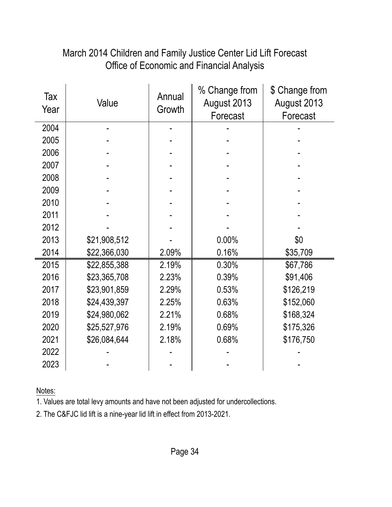# March 2014 Children and Family Justice Center Lid Lift Forecast Office of Economic and Financial Analysis

| Tax<br>Year | Value        | Annual<br>Growth | % Change from<br>August 2013<br>Forecast | \$ Change from<br>August 2013<br>Forecast |
|-------------|--------------|------------------|------------------------------------------|-------------------------------------------|
| 2004        |              |                  |                                          |                                           |
| 2005        |              |                  |                                          |                                           |
| 2006        |              |                  |                                          |                                           |
| 2007        |              |                  |                                          |                                           |
| 2008        |              |                  |                                          |                                           |
| 2009        |              |                  |                                          |                                           |
| 2010        |              |                  |                                          |                                           |
| 2011        |              |                  |                                          |                                           |
| 2012        |              |                  |                                          |                                           |
| 2013        | \$21,908,512 |                  | 0.00%                                    | \$0                                       |
| 2014        | \$22,366,030 | 2.09%            | 0.16%                                    | \$35,709                                  |
| 2015        | \$22,855,388 | 2.19%            | 0.30%                                    | \$67,786                                  |
| 2016        | \$23,365,708 | 2.23%            | 0.39%                                    | \$91,406                                  |
| 2017        | \$23,901,859 | 2.29%            | 0.53%                                    | \$126,219                                 |
| 2018        | \$24,439,397 | 2.25%            | 0.63%                                    | \$152,060                                 |
| 2019        | \$24,980,062 | 2.21%            | 0.68%                                    | \$168,324                                 |
| 2020        | \$25,527,976 | 2.19%            | 0.69%                                    | \$175,326                                 |
| 2021        | \$26,084,644 | 2.18%            | 0.68%                                    | \$176,750                                 |
| 2022        |              |                  |                                          |                                           |
| 2023        |              |                  |                                          |                                           |

Notes:

1. Values are total levy amounts and have not been adjusted for undercollections.

2. The C&FJC lid lift is a nine-year lid lift in effect from 2013-2021.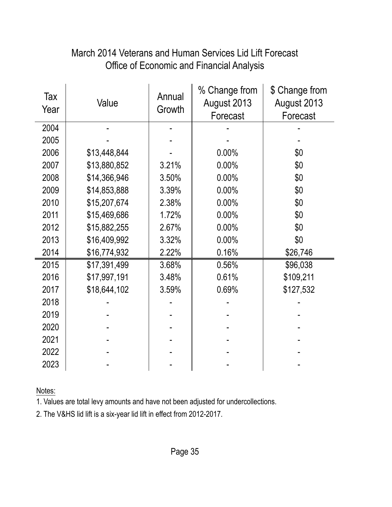#### Tax Year Value Annual **Growth** % Change from August 2013 Forecast \$ Change from August 2013 Forecast 2004 - - - - 2005 | - | - | - | - | 2006 | \$13,448,844 | - | 0.00% | \$0 2007 | \$13,880,852 | 3.21% | 0.00% | \$0 2008 \$14,366,946 3.50% 0.00% \$0 2009 \ \$14,853,888 \ 3.39% \ 0.00% \ \$0 2010 \$15,207,674 2.38% 0.00% \$0 2011 | \$15,469,686 | 1.72% | 0.00% | \$0 2012 \$15,882,255 2.67% 0.00% \$0 2013 \$16,409,992 3.32% 0.00% \$0 2014 \$16,774,932 2.22% 0.16% \$26,746 2015 \$17,391,499 3.68% 0.56% \$96,038 2016 \$17,997,191 3.48% 0.61% \$109,211 2017 \$18,644,102 3.59% 0.69% \$127,532 2018 - - - - 2019 - - - - 2020 - - - - 2021 - - - - 2022 - - - - 2023 - - - -

# March 2014 Veterans and Human Services Lid Lift Forecast Office of Economic and Financial Analysis

Notes:

1. Values are total levy amounts and have not been adjusted for undercollections.

2. The V&HS lid lift is a six-year lid lift in effect from 2012-2017.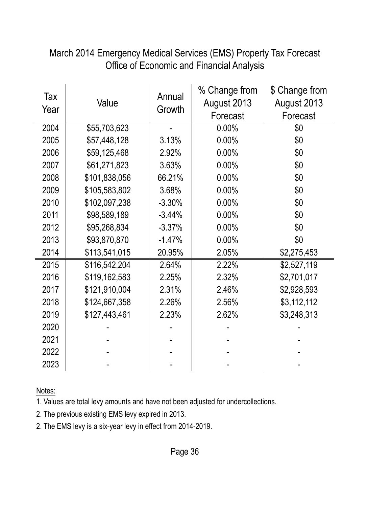| Office of Economic and Financial Analysis |               |                  |                                          |                                           |
|-------------------------------------------|---------------|------------------|------------------------------------------|-------------------------------------------|
| Tax<br>Year                               | Value         | Annual<br>Growth | % Change from<br>August 2013<br>Forecast | \$ Change from<br>August 2013<br>Forecast |
| 2004                                      | \$55,703,623  |                  | 0.00%                                    | \$0                                       |
| 2005                                      | \$57,448,128  | 3.13%            | 0.00%                                    | \$0                                       |
| 2006                                      | \$59,125,468  | 2.92%            | 0.00%                                    | \$0                                       |
| 2007                                      | \$61,271,823  | 3.63%            | 0.00%                                    | \$0                                       |
| 2008                                      | \$101,838,056 | 66.21%           | 0.00%                                    | \$0                                       |
| 2009                                      | \$105,583,802 | 3.68%            | 0.00%                                    | \$0                                       |
| 2010                                      | \$102,097,238 | $-3.30%$         | 0.00%                                    | \$0                                       |
| 2011                                      | \$98,589,189  | $-3.44%$         | 0.00%                                    | \$0                                       |
| 2012                                      | \$95,268,834  | $-3.37%$         | 0.00%                                    | \$0                                       |
| 2013                                      | \$93,870,870  | $-1.47%$         | 0.00%                                    | \$0                                       |
| 2014                                      | \$113,541,015 | 20.95%           | 2.05%                                    | \$2,275,453                               |
| 2015                                      | \$116,542,204 | 2.64%            | 2.22%                                    | \$2,527,119                               |
| 2016                                      | \$119,162,583 | 2.25%            | 2.32%                                    | \$2,701,017                               |
| 2017                                      | \$121,910,004 | 2.31%            | 2.46%                                    | \$2,928,593                               |
| 2018                                      | \$124,667,358 | 2.26%            | 2.56%                                    | \$3,112,112                               |
| 2019                                      | \$127,443,461 | 2.23%            | 2.62%                                    | \$3,248,313                               |
| 2020                                      |               |                  |                                          |                                           |
| 2021                                      |               |                  |                                          |                                           |
| 2022                                      |               |                  |                                          |                                           |
| 2023                                      |               |                  |                                          |                                           |

March 2014 Emergency Medical Services (EMS) Property Tax Forecast Office of Economic and Financial Analysis

Notes:

- 2. The previous existing EMS levy expired in 2013.
- 2. The EMS levy is a six-year levy in effect from 2014-2019.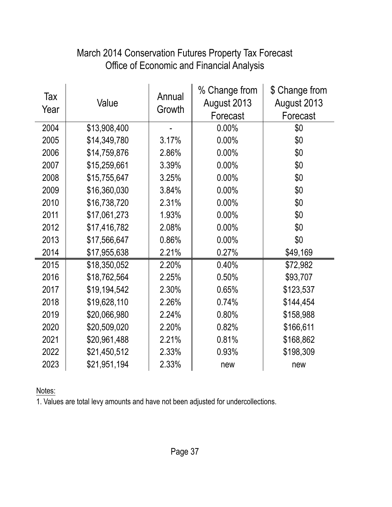| Tax<br>Year | Value        | Annual<br>Growth | % Change from<br>August 2013<br>Forecast | \$ Change from<br>August 2013<br>Forecast |
|-------------|--------------|------------------|------------------------------------------|-------------------------------------------|
| 2004        | \$13,908,400 |                  | $0.00\%$                                 | \$0                                       |
| 2005        | \$14,349,780 | 3.17%            | 0.00%                                    | \$0                                       |
| 2006        | \$14,759,876 | 2.86%            | 0.00%                                    | \$0                                       |
| 2007        | \$15,259,661 | 3.39%            | 0.00%                                    | \$0                                       |
| 2008        | \$15,755,647 | 3.25%            | 0.00%                                    | \$0                                       |
| 2009        | \$16,360,030 | 3.84%            | 0.00%                                    | \$0                                       |
| 2010        | \$16,738,720 | 2.31%            | 0.00%                                    | \$0                                       |
| 2011        | \$17,061,273 | 1.93%            | 0.00%                                    | \$0                                       |
| 2012        | \$17,416,782 | 2.08%            | 0.00%                                    | \$0                                       |
| 2013        | \$17,566,647 | 0.86%            | 0.00%                                    | \$0                                       |
| 2014        | \$17,955,638 | 2.21%            | 0.27%                                    | \$49,169                                  |
| 2015        | \$18,350,052 | 2.20%            | 0.40%                                    | \$72,982                                  |
| 2016        | \$18,762,564 | 2.25%            | 0.50%                                    | \$93,707                                  |
| 2017        | \$19,194,542 | 2.30%            | 0.65%                                    | \$123,537                                 |
| 2018        | \$19,628,110 | 2.26%            | 0.74%                                    | \$144,454                                 |
| 2019        | \$20,066,980 | 2.24%            | 0.80%                                    | \$158,988                                 |
| 2020        | \$20,509,020 | 2.20%            | 0.82%                                    | \$166,611                                 |
| 2021        | \$20,961,488 | 2.21%            | 0.81%                                    | \$168,862                                 |
| 2022        | \$21,450,512 | 2.33%            | 0.93%                                    | \$198,309                                 |
| 2023        | \$21,951,194 | 2.33%            | new                                      | new                                       |

# Office of Economic and Financial Analysis March 2014 Conservation Futures Property Tax Forecast

Notes: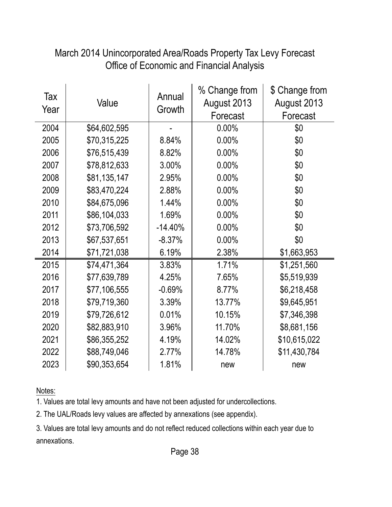| Tax<br>Year | Value        | Annual<br>Growth | % Change from<br>August 2013<br>Forecast | \$ Change from<br>August 2013<br>Forecast |
|-------------|--------------|------------------|------------------------------------------|-------------------------------------------|
| 2004        | \$64,602,595 |                  | 0.00%                                    | \$0                                       |
| 2005        | \$70,315,225 | 8.84%            | 0.00%                                    | \$0                                       |
| 2006        | \$76,515,439 | 8.82%            | 0.00%                                    | \$0                                       |
| 2007        | \$78,812,633 | 3.00%            | 0.00%                                    | \$0                                       |
| 2008        | \$81,135,147 | 2.95%            | 0.00%                                    | \$0                                       |
| 2009        | \$83,470,224 | 2.88%            | 0.00%                                    | \$0                                       |
| 2010        | \$84,675,096 | 1.44%            | 0.00%                                    | \$0                                       |
| 2011        | \$86,104,033 | 1.69%            | 0.00%                                    | \$0                                       |
| 2012        | \$73,706,592 | $-14.40%$        | 0.00%                                    | \$0                                       |
| 2013        | \$67,537,651 | $-8.37%$         | 0.00%                                    | \$0                                       |
| 2014        | \$71,721,038 | 6.19%            | 2.38%                                    | \$1,663,953                               |
| 2015        | \$74,471,364 | 3.83%            | 1.71%                                    | \$1,251,560                               |
| 2016        | \$77,639,789 | 4.25%            | 7.65%                                    | \$5,519,939                               |
| 2017        | \$77,106,555 | $-0.69%$         | 8.77%                                    | \$6,218,458                               |
| 2018        | \$79,719,360 | 3.39%            | 13.77%                                   | \$9,645,951                               |
| 2019        | \$79,726,612 | 0.01%            | 10.15%                                   | \$7,346,398                               |
| 2020        | \$82,883,910 | 3.96%            | 11.70%                                   | \$8,681,156                               |
| 2021        | \$86,355,252 | 4.19%            | 14.02%                                   | \$10,615,022                              |
| 2022        | \$88,749,046 | 2.77%            | 14.78%                                   | \$11,430,784                              |
| 2023        | \$90,353,654 | 1.81%            | new                                      | new                                       |

# March 2014 Unincorporated Area/Roads Property Tax Levy Forecast Office of Economic and Financial Analysis

Notes:

1. Values are total levy amounts and have not been adjusted for undercollections.

2. The UAL/Roads levy values are affected by annexations (see appendix).

3. Values are total levy amounts and do not reflect reduced collections within each year due to annexations.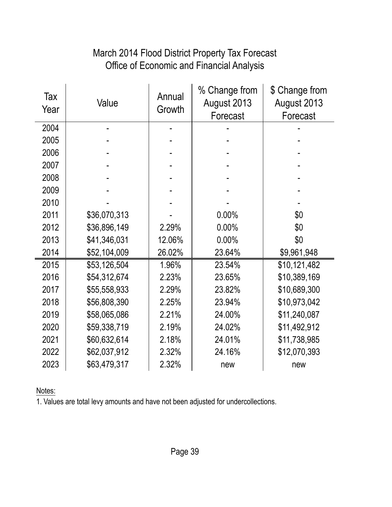# Office of Economic and Financial Analysis March 2014 Flood District Property Tax Forecast

| Tax<br>Year | Value        | Annual<br>Growth | % Change from<br>August 2013<br>Forecast | \$ Change from<br>August 2013<br>Forecast |
|-------------|--------------|------------------|------------------------------------------|-------------------------------------------|
| 2004        |              |                  |                                          |                                           |
| 2005        |              |                  |                                          |                                           |
| 2006        |              |                  |                                          |                                           |
| 2007        |              |                  |                                          |                                           |
| 2008        |              |                  |                                          |                                           |
| 2009        |              |                  |                                          |                                           |
| 2010        |              |                  |                                          |                                           |
| 2011        | \$36,070,313 |                  | 0.00%                                    | \$0                                       |
| 2012        | \$36,896,149 | 2.29%            | 0.00%                                    | \$0                                       |
| 2013        | \$41,346,031 | 12.06%           | 0.00%                                    | \$0                                       |
| 2014        | \$52,104,009 | 26.02%           | 23.64%                                   | \$9,961,948                               |
| 2015        | \$53,126,504 | 1.96%            | 23.54%                                   | \$10,121,482                              |
| 2016        | \$54,312,674 | 2.23%            | 23.65%                                   | \$10,389,169                              |
| 2017        | \$55,558,933 | 2.29%            | 23.82%                                   | \$10,689,300                              |
| 2018        | \$56,808,390 | 2.25%            | 23.94%                                   | \$10,973,042                              |
| 2019        | \$58,065,086 | 2.21%            | 24.00%                                   | \$11,240,087                              |
| 2020        | \$59,338,719 | 2.19%            | 24.02%                                   | \$11,492,912                              |
| 2021        | \$60,632,614 | 2.18%            | 24.01%                                   | \$11,738,985                              |
| 2022        | \$62,037,912 | 2.32%            | 24.16%                                   | \$12,070,393                              |
| 2023        | \$63,479,317 | 2.32%            | new                                      | new                                       |

Notes: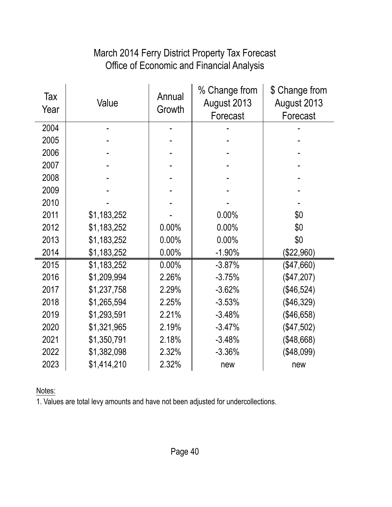# Office of Economic and Financial Analysis March 2014 Ferry District Property Tax Forecast

| Tax<br>Year | Value       | Annual<br>Growth | % Change from<br>August 2013<br>Forecast | \$ Change from<br>August 2013<br>Forecast |
|-------------|-------------|------------------|------------------------------------------|-------------------------------------------|
| 2004        |             |                  |                                          |                                           |
| 2005        |             |                  |                                          |                                           |
| 2006        |             |                  |                                          |                                           |
| 2007        |             |                  |                                          |                                           |
| 2008        |             |                  |                                          |                                           |
| 2009        |             |                  |                                          |                                           |
| 2010        |             |                  |                                          |                                           |
| 2011        | \$1,183,252 |                  | 0.00%                                    | \$0                                       |
| 2012        | \$1,183,252 | 0.00%            | 0.00%                                    | \$0                                       |
| 2013        | \$1,183,252 | 0.00%            | 0.00%                                    | \$0                                       |
| 2014        | \$1,183,252 | 0.00%            | $-1.90%$                                 | (\$22,960)                                |
| 2015        | \$1,183,252 | 0.00%            | $-3.87%$                                 | (\$47,660)                                |
| 2016        | \$1,209,994 | 2.26%            | $-3.75%$                                 | (\$47,207)                                |
| 2017        | \$1,237,758 | 2.29%            | $-3.62%$                                 | (\$46,524)                                |
| 2018        | \$1,265,594 | 2.25%            | $-3.53%$                                 | (\$46,329)                                |
| 2019        | \$1,293,591 | 2.21%            | $-3.48%$                                 | (\$46,658)                                |
| 2020        | \$1,321,965 | 2.19%            | $-3.47%$                                 | (\$47,502)                                |
| 2021        | \$1,350,791 | 2.18%            | $-3.48%$                                 | (\$48,668)                                |
| 2022        | \$1,382,098 | 2.32%            | $-3.36%$                                 | (\$48,099)                                |
| 2023        | \$1,414,210 | 2.32%            | new                                      | new                                       |

Notes: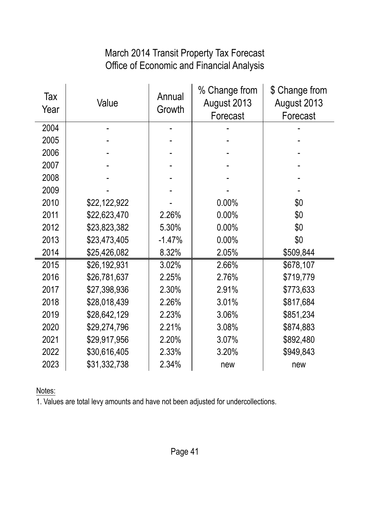#### Office of Economic and Financial Analysis March 2014 Transit Property Tax Forecast

| Tax<br>Year | Value        | Annual<br>Growth | % Change from<br>August 2013<br>Forecast | \$ Change from<br>August 2013<br>Forecast |
|-------------|--------------|------------------|------------------------------------------|-------------------------------------------|
| 2004        |              |                  |                                          |                                           |
| 2005        |              |                  |                                          |                                           |
| 2006        |              |                  |                                          |                                           |
| 2007        |              |                  |                                          |                                           |
| 2008        |              |                  |                                          |                                           |
| 2009        |              |                  |                                          |                                           |
| 2010        | \$22,122,922 |                  | 0.00%                                    | \$0                                       |
| 2011        | \$22,623,470 | 2.26%            | 0.00%                                    | \$0                                       |
| 2012        | \$23,823,382 | 5.30%            | 0.00%                                    | \$0                                       |
| 2013        | \$23,473,405 | $-1.47%$         | 0.00%                                    | \$0                                       |
| 2014        | \$25,426,082 | 8.32%            | 2.05%                                    | \$509,844                                 |
| 2015        | \$26,192,931 | 3.02%            | 2.66%                                    | \$678,107                                 |
| 2016        | \$26,781,637 | 2.25%            | 2.76%                                    | \$719,779                                 |
| 2017        | \$27,398,936 | 2.30%            | 2.91%                                    | \$773,633                                 |
| 2018        | \$28,018,439 | 2.26%            | 3.01%                                    | \$817,684                                 |
| 2019        | \$28,642,129 | 2.23%            | 3.06%                                    | \$851,234                                 |
| 2020        | \$29,274,796 | 2.21%            | 3.08%                                    | \$874,883                                 |
| 2021        | \$29,917,956 | 2.20%            | 3.07%                                    | \$892,480                                 |
| 2022        | \$30,616,405 | 2.33%            | 3.20%                                    | \$949,843                                 |
| 2023        | \$31,332,738 | 2.34%            | new                                      | new                                       |

Notes: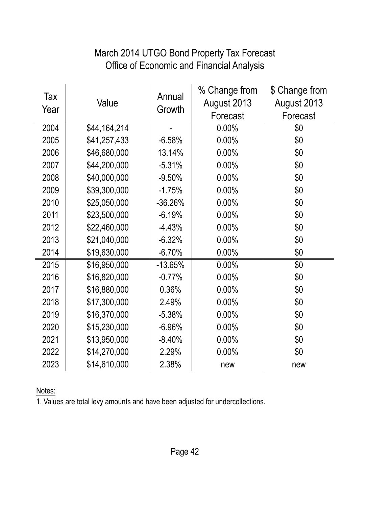# March 2014 UTGO Bond Property Tax Forecast Office of Economic and Financial Analysis

| Tax<br>Year | Value        | Annual<br>Growth | % Change from<br>August 2013<br>Forecast | \$ Change from<br>August 2013<br>Forecast |
|-------------|--------------|------------------|------------------------------------------|-------------------------------------------|
| 2004        | \$44,164,214 |                  | 0.00%                                    | \$0                                       |
| 2005        | \$41,257,433 | $-6.58%$         | 0.00%                                    | \$0                                       |
| 2006        | \$46,680,000 | 13.14%           | 0.00%                                    | \$0                                       |
| 2007        | \$44,200,000 | $-5.31%$         | 0.00%                                    | \$0                                       |
| 2008        | \$40,000,000 | $-9.50%$         | 0.00%                                    | \$0                                       |
| 2009        | \$39,300,000 | $-1.75%$         | 0.00%                                    | \$0                                       |
| 2010        | \$25,050,000 | $-36.26%$        | 0.00%                                    | \$0                                       |
| 2011        | \$23,500,000 | $-6.19%$         | 0.00%                                    | \$0                                       |
| 2012        | \$22,460,000 | $-4.43%$         | 0.00%                                    | \$0                                       |
| 2013        | \$21,040,000 | $-6.32%$         | 0.00%                                    | \$0                                       |
| 2014        | \$19,630,000 | $-6.70%$         | 0.00%                                    | \$0                                       |
| 2015        | \$16,950,000 | $-13.65%$        | $0.00\%$                                 | \$0                                       |
| 2016        | \$16,820,000 | $-0.77%$         | 0.00%                                    | \$0                                       |
| 2017        | \$16,880,000 | 0.36%            | 0.00%                                    | \$0                                       |
| 2018        | \$17,300,000 | 2.49%            | 0.00%                                    | \$0                                       |
| 2019        | \$16,370,000 | $-5.38%$         | 0.00%                                    | \$0                                       |
| 2020        | \$15,230,000 | $-6.96%$         | 0.00%                                    | \$0                                       |
| 2021        | \$13,950,000 | $-8.40%$         | 0.00%                                    | \$0                                       |
| 2022        | \$14,270,000 | 2.29%            | 0.00%                                    | \$0                                       |
| 2023        | \$14,610,000 | 2.38%            | new                                      | new                                       |

Notes: